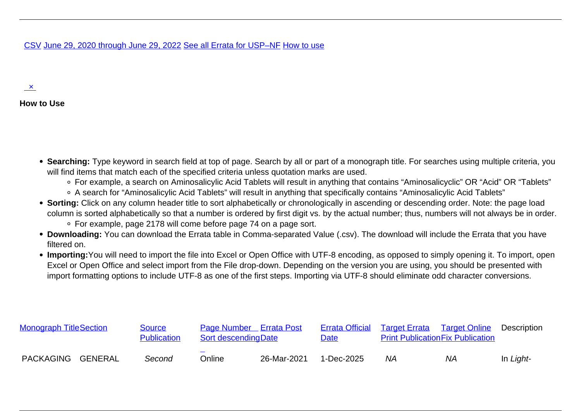## [CSV](/official-text/errata-table/export-csv) June 29, 2020 through June 29, 2022 [See all Errata for USP–NF](/official-text/errata-table-all) How to use

## $\mathbf{x}$

## **How to Use**

- Searching: Type keyword in search field at top of page. Search by all or part of a monograph title. For searches using multiple criteria, you will find items that match each of the specified criteria unless quotation marks are used.
	- For example, a search on Aminosalicylic Acid Tablets will result in anything that contains "Aminosalicyclic" OR "Acid" OR "Tablets"
	- A search for "Aminosalicylic Acid Tablets" will result in anything that specifically contains "Aminosalicylic Acid Tablets"
- Sorting: Click on any column header title to sort alphabetically or chronologically in ascending or descending order. Note: the page load column is sorted alphabetically so that a number is ordered by first digit vs. by the actual number; thus, numbers will not always be in order. For example, page 2178 will come before page 74 on a page sort.
- **Downloading:** You can download the Errata table in Comma-separated Value (.csv). The download will include the Errata that you have filtered on.
- **Importing:**You will need to import the file into Excel or Open Office with UTF-8 encoding, as opposed to simply opening it. To import, open Excel or Open Office and select import from the File drop-down. Depending on the version you are using, you should be presented with import formatting options to include UTF-8 as one of the first steps. Importing via UTF-8 should eliminate odd character conversions.

| <b>Monograph Title Section</b> |  | Source<br><b>Publication</b> | Page Number Errata Post<br><b>Sort descendingDate</b> |             | <b>Date</b> | Errata Official Target Errata Target Online<br><b>Print Publication Fix Publication</b> |    | <b>Description</b> |
|--------------------------------|--|------------------------------|-------------------------------------------------------|-------------|-------------|-----------------------------------------------------------------------------------------|----|--------------------|
| PACKAGING GENERAL              |  | Second                       | $\overline{\phantom{a}}$<br>Online                    | 26-Mar-2021 | 1-Dec-2025  | ΝA                                                                                      | NA | In Light-          |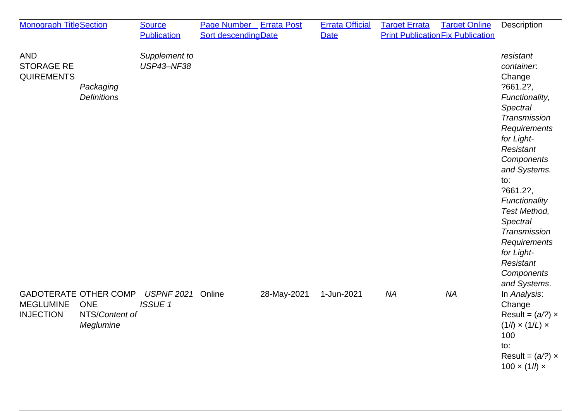| <b>Monograph TitleSection</b>                                                                                     | <b>Source</b><br><b>Publication</b> | Page Number Errata Post<br><b>Sort descendingDate</b> |             | <b>Errata Official</b><br><b>Date</b> | <b>Target Errata</b> | <b>Target Online</b><br><b>Print Publication Fix Publication</b> | Description                                                                                                                                                                                                                                                                                                                                 |
|-------------------------------------------------------------------------------------------------------------------|-------------------------------------|-------------------------------------------------------|-------------|---------------------------------------|----------------------|------------------------------------------------------------------|---------------------------------------------------------------------------------------------------------------------------------------------------------------------------------------------------------------------------------------------------------------------------------------------------------------------------------------------|
| <b>AND</b><br><b>STORAGE RE</b><br><b>QUIREMENTS</b><br>Packaging<br><b>Definitions</b>                           | Supplement to<br><b>USP43-NF38</b>  |                                                       |             |                                       |                      |                                                                  | resistant<br>container.<br>Change<br>?661.2?,<br>Functionality,<br><b>Spectral</b><br>Transmission<br>Requirements<br>for Light-<br>Resistant<br>Components<br>and Systems.<br>to:<br>?661.2?,<br>Functionality<br>Test Method,<br><b>Spectral</b><br>Transmission<br>Requirements<br>for Light-<br>Resistant<br>Components<br>and Systems. |
| <b>GADOTERATE OTHER COMP</b><br><b>ONE</b><br><b>MEGLUMINE</b><br><b>INJECTION</b><br>NTS/Content of<br>Meglumine | <b>USPNF 2021</b><br><b>ISSUE 1</b> | Online                                                | 28-May-2021 | 1-Jun-2021                            | <b>NA</b>            | <b>NA</b>                                                        | In Analysis:<br>Change<br>Result = $(a/?) \times$<br>$(1/l) \times (1/L) \times$<br>100<br>to:<br>Result = $(a/?) \times$<br>$100 \times (1/\ell) \times$                                                                                                                                                                                   |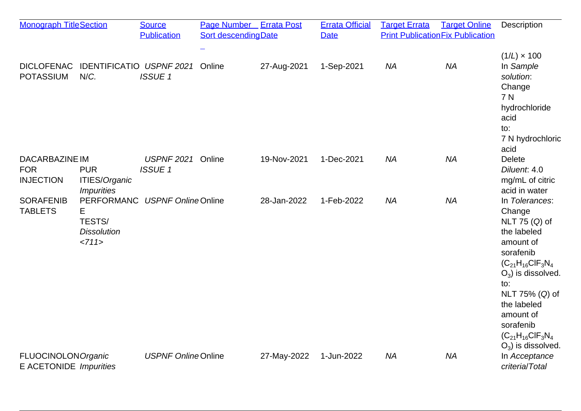| <b>Monograph TitleSection</b>                           |                                                                | <b>Source</b><br><b>Publication</b> | Page Number Errata Post<br><b>Sort descendingDate</b> |             | <b>Errata Official</b><br><b>Date</b> | <b>Target Errata</b> | <b>Target Online</b><br><b>Print Publication Fix Publication</b> | Description                                                                                                                                                                                                                                                    |
|---------------------------------------------------------|----------------------------------------------------------------|-------------------------------------|-------------------------------------------------------|-------------|---------------------------------------|----------------------|------------------------------------------------------------------|----------------------------------------------------------------------------------------------------------------------------------------------------------------------------------------------------------------------------------------------------------------|
| <b>DICLOFENAC</b><br><b>POTASSIUM</b>                   | IDENTIFICATIO USPNF 2021<br>N/C.                               | <b>ISSUE1</b>                       | Online                                                | 27-Aug-2021 | 1-Sep-2021                            | <b>NA</b>            | <b>NA</b>                                                        | $(1/L) \times 100$<br>In Sample<br>solution:<br>Change<br>7 N<br>hydrochloride<br>acid<br>to:<br>7 N hydrochloric                                                                                                                                              |
| <b>DACARBAZINE IM</b><br><b>FOR</b><br><b>INJECTION</b> | <b>PUR</b><br><b>ITIES/Organic</b><br><i><b>Impurities</b></i> | <b>USPNF 2021</b><br><b>ISSUE1</b>  | Online                                                | 19-Nov-2021 | 1-Dec-2021                            | <b>NA</b>            | <b>NA</b>                                                        | acid<br><b>Delete</b><br>Diluent. 4.0<br>mg/mL of citric<br>acid in water                                                                                                                                                                                      |
| <b>SORAFENIB</b><br><b>TABLETS</b>                      | PERFORMANC<br>Е<br>TESTS/<br><b>Dissolution</b><br><711>       | <b>USPNF Online Online</b>          |                                                       | 28-Jan-2022 | 1-Feb-2022                            | <b>NA</b>            | <b>NA</b>                                                        | In Tolerances:<br>Change<br>NLT 75 (Q) of<br>the labeled<br>amount of<br>sorafenib<br>$(C_{21}H_{16}CIF_3N_4)$<br>$O_3$ ) is dissolved.<br>to:<br>NLT 75% (Q) of<br>the labeled<br>amount of<br>sorafenib<br>$(C_{21}H_{16}CIF_3N_4)$<br>$O_3$ ) is dissolved. |
| <b>FLUOCINOLON Organic</b><br>E ACETONIDE Impurities    |                                                                | <b>USPNF Online Online</b>          |                                                       | 27-May-2022 | 1-Jun-2022                            | <b>NA</b>            | <b>NA</b>                                                        | In Acceptance<br>criteria/Total                                                                                                                                                                                                                                |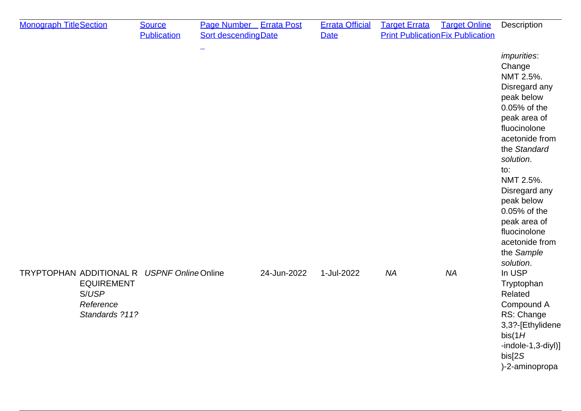| <b>Monograph TitleSection</b>              |                                                           | <b>Source</b><br><b>Publication</b> | Page Number Errata Post<br>Sort descending Date |             | <b>Errata Official</b><br><b>Date</b> | <b>Target Errata</b> | <b>Target Online</b><br><b>Print Publication Fix Publication</b> | Description                                                                                                                                                                                                                                                                                                             |
|--------------------------------------------|-----------------------------------------------------------|-------------------------------------|-------------------------------------------------|-------------|---------------------------------------|----------------------|------------------------------------------------------------------|-------------------------------------------------------------------------------------------------------------------------------------------------------------------------------------------------------------------------------------------------------------------------------------------------------------------------|
|                                            |                                                           |                                     |                                                 |             |                                       |                      |                                                                  | <i>impurities:</i><br>Change<br>NMT 2.5%.<br>Disregard any<br>peak below<br>0.05% of the<br>peak area of<br>fluocinolone<br>acetonide from<br>the Standard<br>solution.<br>to:<br>NMT 2.5%.<br>Disregard any<br>peak below<br>0.05% of the<br>peak area of<br>fluocinolone<br>acetonide from<br>the Sample<br>solution. |
| TRYPTOPHAN ADDITIONAL R USPNF OnlineOnline | <b>EQUIREMENT</b><br>S/USP<br>Reference<br>Standards ?11? |                                     |                                                 | 24-Jun-2022 | 1-Jul-2022                            | <b>NA</b>            | <b>NA</b>                                                        | In USP<br>Tryptophan<br>Related<br>Compound A<br>RS: Change<br>3,3?-[Ethylidene<br>bis(1H)<br>$-indole-1, 3-diyI)$ ]<br>bis[2S]<br>)-2-aminopropa                                                                                                                                                                       |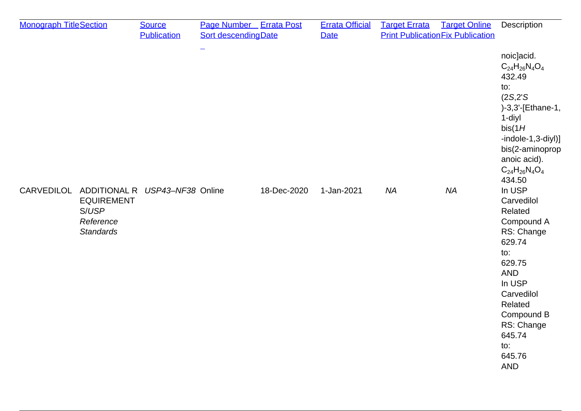| <b>Monograph TitleSection</b> |                                                             | <b>Source</b>                             | <b>Page Number</b> Errata Post |             | <b>Errata Official</b> | <b>Target Errata</b> | <b>Target Online</b>                     | Description                                                                                                                                                                                                   |
|-------------------------------|-------------------------------------------------------------|-------------------------------------------|--------------------------------|-------------|------------------------|----------------------|------------------------------------------|---------------------------------------------------------------------------------------------------------------------------------------------------------------------------------------------------------------|
|                               |                                                             | <b>Publication</b>                        | <b>Sort descending Date</b>    |             | <b>Date</b>            |                      | <b>Print Publication Fix Publication</b> |                                                                                                                                                                                                               |
|                               |                                                             |                                           |                                |             |                        |                      |                                          | noic]acid.<br>$C_{24}H_{26}N_4O_4$<br>432.49<br>to:<br>(2S, 2'S)<br>)-3,3'-[Ethane-1,<br>1-diyl<br>bis(1H)<br>$-indole-1, 3-diyl)$ ]<br>bis(2-aminoprop<br>anoic acid).<br>$C_{24}H_{26}N_{4}O_{4}$<br>434.50 |
|                               | <b>EQUIREMENT</b><br>S/USP<br>Reference<br><b>Standards</b> | CARVEDILOL ADDITIONAL R USP43-NF38 Online |                                | 18-Dec-2020 | 1-Jan-2021             | <b>NA</b>            | <b>NA</b>                                | In USP<br>Carvedilol<br>Related<br>Compound A<br>RS: Change<br>629.74<br>to:<br>629.75<br><b>AND</b><br>In USP<br>Carvedilol<br>Related<br>Compound B<br>RS: Change<br>645.74<br>to:<br>645.76<br><b>AND</b>  |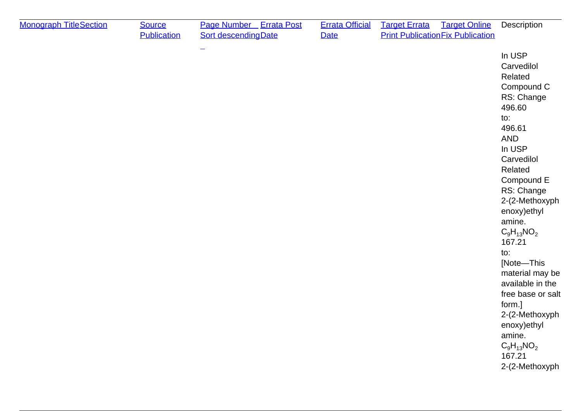| <b>Monograph TitleSection</b> | <b>Source</b><br><b>Publication</b> | Page Number Errata Post<br><b>Sort descending Date</b> | <b>Errata Official</b><br>Date | <b>Target Errata</b><br><b>Target Online</b><br><b>Print Publication Fix Publication</b> | Description                                                                                                                                                                                                                                                                                                                                                                                                                       |
|-------------------------------|-------------------------------------|--------------------------------------------------------|--------------------------------|------------------------------------------------------------------------------------------|-----------------------------------------------------------------------------------------------------------------------------------------------------------------------------------------------------------------------------------------------------------------------------------------------------------------------------------------------------------------------------------------------------------------------------------|
|                               |                                     |                                                        |                                |                                                                                          | In USP<br>Carvedilol<br>Related<br>Compound C<br>RS: Change<br>496.60<br>to:<br>496.61<br><b>AND</b><br>In USP<br>Carvedilol<br>Related<br>Compound E<br>RS: Change<br>2-(2-Methoxyph<br>enoxy) ethyl<br>amine.<br>$C_9H_{13}NO_2$<br>167.21<br>to:<br>[Note-This<br>material may be<br>available in the<br>free base or salt<br>form.]<br>2-(2-Methoxyph<br>enoxy)ethyl<br>amine.<br>$C_9H_{13}NO_2$<br>167.21<br>2-(2-Methoxyph |
|                               |                                     |                                                        |                                |                                                                                          |                                                                                                                                                                                                                                                                                                                                                                                                                                   |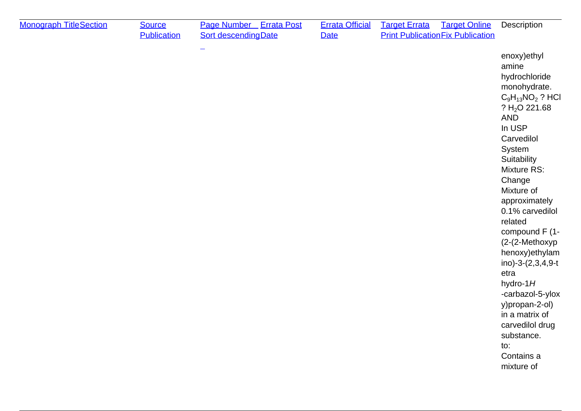| <b>Monograph TitleSection</b> | <b>Source</b><br><b>Publication</b> | Page Number Errata Post<br><b>Sort descendingDate</b> | <b>Errata Official</b><br><b>Date</b> | <b>Target Errata</b><br><b>Target Online</b><br><b>Print Publication Fix Publication</b> | Description                                                                                                                                                                                                                                                                                                                                                                                                                                                                           |
|-------------------------------|-------------------------------------|-------------------------------------------------------|---------------------------------------|------------------------------------------------------------------------------------------|---------------------------------------------------------------------------------------------------------------------------------------------------------------------------------------------------------------------------------------------------------------------------------------------------------------------------------------------------------------------------------------------------------------------------------------------------------------------------------------|
|                               |                                     |                                                       |                                       |                                                                                          | enoxy) ethyl<br>amine<br>hydrochloride<br>monohydrate.<br>$C_9H_{13}NO_2$ ? HCl<br>? $H2O$ 221.68<br><b>AND</b><br>In USP<br>Carvedilol<br>System<br>Suitability<br>Mixture RS:<br>Change<br>Mixture of<br>approximately<br>0.1% carvedilol<br>related<br>compound F (1-<br>(2-(2-Methoxyp<br>henoxy) ethylam<br>ino)-3-(2,3,4,9-t<br>etra<br>hydro-1 $H$<br>-carbazol-5-ylox<br>y)propan-2-ol)<br>in a matrix of<br>carvedilol drug<br>substance.<br>to:<br>Contains a<br>mixture of |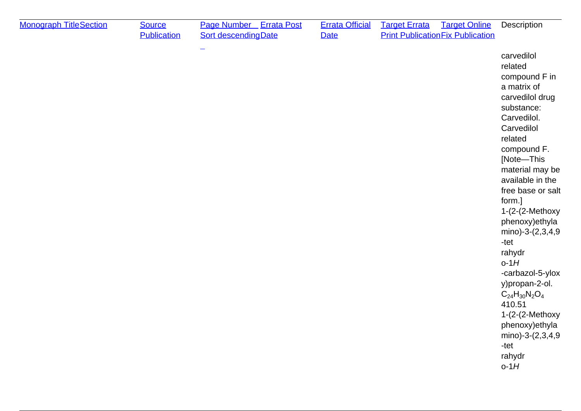| <b>Monograph TitleSection</b> | <b>Source</b><br><b>Publication</b> | Page Number Errata Post<br><b>Sort descendingDate</b> | <b>Errata Official</b><br><b>Date</b> | <b>Target Errata</b><br><b>Print Publication Fix Publication</b> | <b>Target Online</b> | Description                                                                                                                                                                                                                                                                                                                                                                                                                                                                               |
|-------------------------------|-------------------------------------|-------------------------------------------------------|---------------------------------------|------------------------------------------------------------------|----------------------|-------------------------------------------------------------------------------------------------------------------------------------------------------------------------------------------------------------------------------------------------------------------------------------------------------------------------------------------------------------------------------------------------------------------------------------------------------------------------------------------|
|                               |                                     |                                                       |                                       |                                                                  |                      | carvedilol<br>related<br>compound F in<br>a matrix of<br>carvedilol drug<br>substance:<br>Carvedilol.<br>Carvedilol<br>related<br>compound F.<br>[Note-This<br>material may be<br>available in the<br>free base or salt<br>form.]<br>$1-(2-(2-Methoxy$<br>phenoxy) ethyla<br>mino)-3-(2,3,4,9<br>-tet<br>rahydr<br>$o-1H$<br>-carbazol-5-ylox<br>y)propan-2-ol.<br>$C_{24}H_{30}N_2O_4$<br>410.51<br>$1-(2-(2-Methoxy$<br>phenoxy) ethyla<br>mino)-3-(2,3,4,9<br>-tet<br>rahydr<br>$o-1H$ |
|                               |                                     |                                                       |                                       |                                                                  |                      |                                                                                                                                                                                                                                                                                                                                                                                                                                                                                           |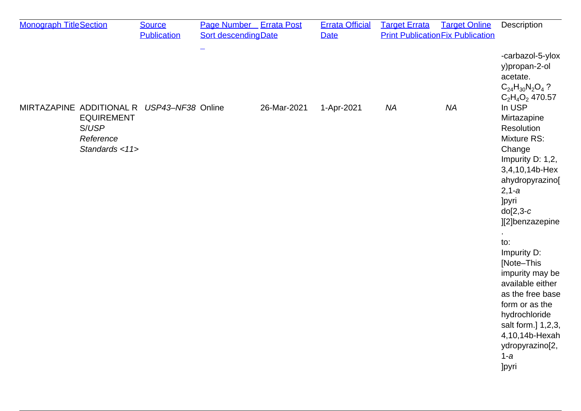| <b>Monograph TitleSection</b> |                                                           | <b>Source</b>                              | <b>Page Number</b> Errata Post |             | <b>Errata Official</b> | <b>Target Errata</b> | <b>Target Online</b>                     | Description                                                                                                                                                                                                                                                                                                                                                                                        |
|-------------------------------|-----------------------------------------------------------|--------------------------------------------|--------------------------------|-------------|------------------------|----------------------|------------------------------------------|----------------------------------------------------------------------------------------------------------------------------------------------------------------------------------------------------------------------------------------------------------------------------------------------------------------------------------------------------------------------------------------------------|
|                               |                                                           | <b>Publication</b>                         | <b>Sort descendingDate</b>     |             | <b>Date</b>            |                      | <b>Print Publication Fix Publication</b> |                                                                                                                                                                                                                                                                                                                                                                                                    |
|                               |                                                           |                                            |                                |             |                        |                      |                                          | -carbazol-5-ylox<br>y)propan-2-ol<br>acetate.<br>$C_{24}H_{30}N_2O_4$ ?<br>$C_2H_4O_2$ 470.57                                                                                                                                                                                                                                                                                                      |
|                               | <b>EQUIREMENT</b><br>S/USP<br>Reference<br>Standards <11> | MIRTAZAPINE ADDITIONAL R USP43-NF38 Online |                                | 26-Mar-2021 | 1-Apr-2021             | <b>NA</b>            | <b>NA</b>                                | In USP<br>Mirtazapine<br>Resolution<br>Mixture RS:<br>Change<br>Impurity D: 1,2,<br>3,4,10,14b-Hex<br>ahydropyrazino[<br>$2, 1-a$<br><b>Jpyri</b><br>$do[2,3-c]$<br>][2]benzazepine<br>to:<br>Impurity D:<br>[Note-This<br>impurity may be<br>available either<br>as the free base<br>form or as the<br>hydrochloride<br>salt form.] 1,2,3,<br>4,10,14b-Hexah<br>ydropyrazino[2,<br>$1-a$<br>]pyri |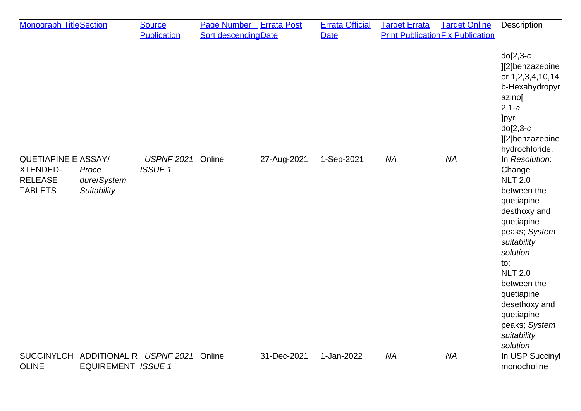| <b>Monograph TitleSection</b>                                                     |                                                                 | <b>Source</b>                      | <b>Page Number</b> Errata Post |             | <b>Errata Official</b> | <b>Target Errata</b> | <b>Target Online</b>                     | Description                                                                                                                                                                                                                                                                        |
|-----------------------------------------------------------------------------------|-----------------------------------------------------------------|------------------------------------|--------------------------------|-------------|------------------------|----------------------|------------------------------------------|------------------------------------------------------------------------------------------------------------------------------------------------------------------------------------------------------------------------------------------------------------------------------------|
|                                                                                   |                                                                 | <b>Publication</b>                 | Sort descending Date           |             | <b>Date</b>            |                      | <b>Print Publication Fix Publication</b> |                                                                                                                                                                                                                                                                                    |
|                                                                                   |                                                                 |                                    |                                |             |                        |                      |                                          | $do[2,3-c]$<br>][2]benzazepine<br>or 1,2,3,4,10,14<br>b-Hexahydropyr<br>azino[<br>$2, 1-a$<br><b>Jpyri</b><br>$do[2,3-c]$<br>][2]benzazepine<br>hydrochloride.                                                                                                                     |
| <b>QUETIAPINE E ASSAY/</b><br><b>XTENDED-</b><br><b>RELEASE</b><br><b>TABLETS</b> | Proce<br>dure/System<br>Suitability                             | <b>USPNF 2021</b><br><b>ISSUE1</b> | Online                         | 27-Aug-2021 | 1-Sep-2021             | <b>NA</b>            | <b>NA</b>                                | In Resolution:<br>Change<br><b>NLT 2.0</b><br>between the<br>quetiapine<br>desthoxy and<br>quetiapine<br>peaks; System<br>suitability<br>solution<br>to:<br><b>NLT 2.0</b><br>between the<br>quetiapine<br>desethoxy and<br>quetiapine<br>peaks; System<br>suitability<br>solution |
| <b>OLINE</b>                                                                      | SUCCINYLCH ADDITIONAL R USPNF 2021<br><b>EQUIREMENT ISSUE 1</b> |                                    | Online                         | 31-Dec-2021 | 1-Jan-2022             | <b>NA</b>            | <b>NA</b>                                | In USP Succinyl<br>monocholine                                                                                                                                                                                                                                                     |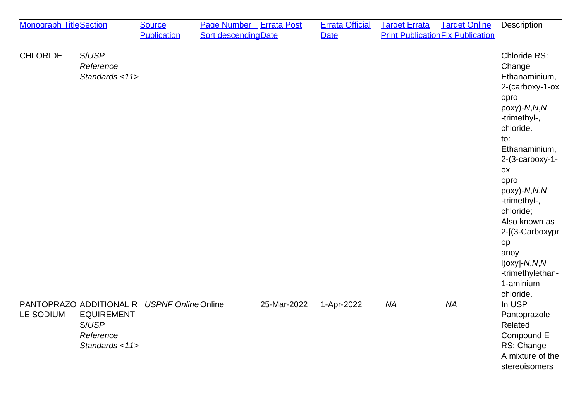| <b>Monograph TitleSection</b>                                                                                         | <b>Source</b><br><b>Publication</b> | Page Number Errata Post<br><b>Sort descending Date</b> |             | <b>Errata Official</b><br><b>Date</b> | <b>Target Errata</b> | <b>Target Online</b><br><b>Print Publication Fix Publication</b> | Description                                                                                                                                                                                                                                                                                                                                    |
|-----------------------------------------------------------------------------------------------------------------------|-------------------------------------|--------------------------------------------------------|-------------|---------------------------------------|----------------------|------------------------------------------------------------------|------------------------------------------------------------------------------------------------------------------------------------------------------------------------------------------------------------------------------------------------------------------------------------------------------------------------------------------------|
| <b>CHLORIDE</b><br>S/USP<br>Reference<br>Standards <11>                                                               |                                     | -                                                      |             |                                       |                      |                                                                  | Chloride RS:<br>Change<br>Ethanaminium,<br>2-(carboxy-1-ox<br>opro<br>poxy)-N,N,N<br>-trimethyl-,<br>chloride.<br>to:<br>Ethanaminium,<br>$2-(3$ -carboxy-1-<br>OX<br>opro<br>poxy)-N,N,N<br>-trimethyl-,<br>chloride;<br>Also known as<br>2-[(3-Carboxypr<br>op<br>anoy<br>$I)$ oxy]- $N, N, N$<br>-trimethylethan-<br>1-aminium<br>chloride. |
| PANTOPRAZO ADDITIONAL R USPNF Online Online<br>LE SODIUM<br><b>EQUIREMENT</b><br>S/USP<br>Reference<br>Standards <11> |                                     |                                                        | 25-Mar-2022 | 1-Apr-2022                            | <b>NA</b>            | <b>NA</b>                                                        | In USP<br>Pantoprazole<br>Related<br>Compound E<br>RS: Change<br>A mixture of the<br>stereoisomers                                                                                                                                                                                                                                             |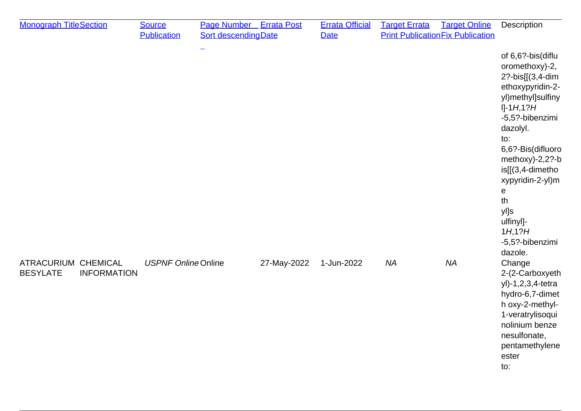| <b>Monograph TitleSection</b>                                | <b>Source</b><br><b>Publication</b> | Page Number Errata Post<br><b>Sort descendingDate</b> |             | <b>Errata Official</b><br><b>Date</b> | <b>Target Errata</b> | <b>Target Online</b><br><b>Print Publication Fix Publication</b> | Description                                                                                                                                                                                                                                                                                                    |
|--------------------------------------------------------------|-------------------------------------|-------------------------------------------------------|-------------|---------------------------------------|----------------------|------------------------------------------------------------------|----------------------------------------------------------------------------------------------------------------------------------------------------------------------------------------------------------------------------------------------------------------------------------------------------------------|
|                                                              |                                     |                                                       |             |                                       |                      |                                                                  | of 6,6?-bis(diflu<br>oromethoxy)-2,<br>2?-bis[[(3,4-dim<br>ethoxypyridin-2-<br>yl)methyl]sulfiny<br>$I]-1H,1?H$<br>-5,5?-bibenzimi<br>dazolyl.<br>to:<br>6,6?-Bis(difluoro<br>methoxy)-2,2?-b<br>is[[(3,4-dimetho<br>xypyridin-2-yl)m<br>e<br>th<br>yl]s<br>ulfinyl]-<br>1H, 1?H<br>-5,5?-bibenzimi<br>dazole. |
| ATRACURIUM CHEMICAL<br><b>BESYLATE</b><br><b>INFORMATION</b> | <b>USPNF Online Online</b>          |                                                       | 27-May-2022 | 1-Jun-2022                            | <b>NA</b>            | <b>NA</b>                                                        | Change<br>2-(2-Carboxyeth<br>yl)-1,2,3,4-tetra<br>hydro-6,7-dimet<br>h oxy-2-methyl-<br>1-veratrylisoqui<br>nolinium benze<br>nesulfonate,<br>pentamethylene<br>ester<br>to:                                                                                                                                   |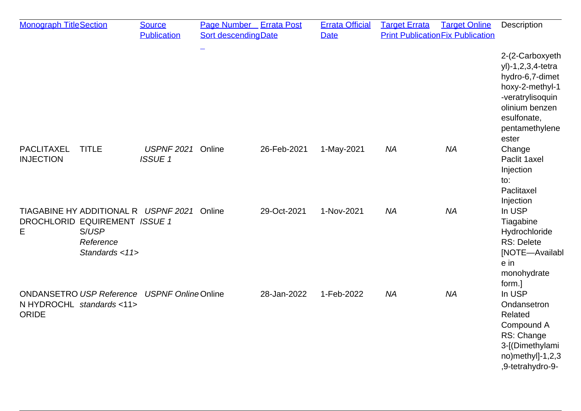| <b>Monograph TitleSection</b>         |                                                                                                               | <b>Source</b><br><b>Publication</b> | <b>Page Number</b> Errata Post<br>Sort descendingDate |             | <b>Errata Official</b><br><b>Date</b> | <b>Target Errata</b> | <b>Target Online</b><br><b>Print Publication Fix Publication</b> | <b>Description</b>                                                                                                                                         |
|---------------------------------------|---------------------------------------------------------------------------------------------------------------|-------------------------------------|-------------------------------------------------------|-------------|---------------------------------------|----------------------|------------------------------------------------------------------|------------------------------------------------------------------------------------------------------------------------------------------------------------|
|                                       |                                                                                                               |                                     |                                                       |             |                                       |                      |                                                                  | 2-(2-Carboxyeth<br>yl)-1,2,3,4-tetra<br>hydro-6,7-dimet<br>hoxy-2-methyl-1<br>-veratrylisoquin<br>olinium benzen<br>esulfonate,<br>pentamethylene<br>ester |
| <b>PACLITAXEL</b><br><b>INJECTION</b> | <b>TITLE</b>                                                                                                  | <b>USPNF 2021</b><br><b>ISSUE 1</b> | Online                                                | 26-Feb-2021 | 1-May-2021                            | <b>NA</b>            | <b>NA</b>                                                        | Change<br>Paclit 1axel<br>Injection<br>to:<br>Paclitaxel<br>Injection                                                                                      |
| Е                                     | TIAGABINE HY ADDITIONAL R USPNF 2021<br>DROCHLORID EQUIREMENT ISSUE 1<br>S/USP<br>Reference<br>Standards <11> |                                     | Online                                                | 29-Oct-2021 | 1-Nov-2021                            | <b>NA</b>            | <b>NA</b>                                                        | In USP<br>Tiagabine<br>Hydrochloride<br><b>RS: Delete</b><br>[NOTE-Availabl<br>e in<br>monohydrate<br>form.]                                               |
| <b>ORIDE</b>                          | ONDANSETRO USP Reference USPNF OnlineOnline<br>N HYDROCHL standards <11>                                      |                                     |                                                       | 28-Jan-2022 | 1-Feb-2022                            | <b>NA</b>            | <b>NA</b>                                                        | In USP<br>Ondansetron<br>Related<br>Compound A<br>RS: Change<br>3-[(Dimethylami<br>no)methyl]-1,2,3<br>,9-tetrahydro-9-                                    |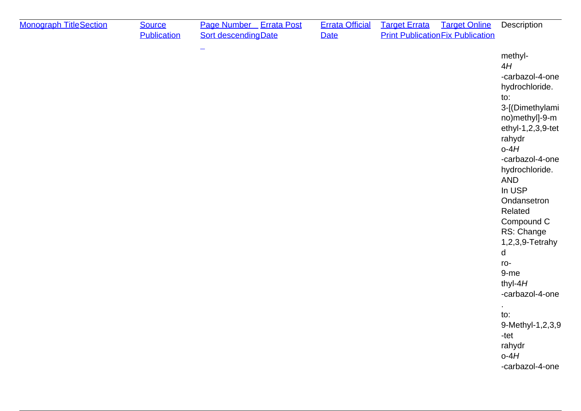| <b>Monograph TitleSection</b> | <b>Source</b><br><b>Publication</b> | Page Number Errata Post<br><b>Sort descending Date</b> | <b>Errata Official</b><br><b>Date</b> | <b>Target Errata</b><br><b>Target Online</b><br><b>Print Publication Fix Publication</b> | Description                                                                                                                                                                                                                                                                                                                                                                                                             |
|-------------------------------|-------------------------------------|--------------------------------------------------------|---------------------------------------|------------------------------------------------------------------------------------------|-------------------------------------------------------------------------------------------------------------------------------------------------------------------------------------------------------------------------------------------------------------------------------------------------------------------------------------------------------------------------------------------------------------------------|
|                               |                                     |                                                        |                                       |                                                                                          | methyl-<br>4H<br>-carbazol-4-one<br>hydrochloride.<br>to:<br>3-[(Dimethylami<br>no)methyl]-9-m<br>ethyl-1,2,3,9-tet<br>rahydr<br>$o-4H$<br>-carbazol-4-one<br>hydrochloride.<br><b>AND</b><br>In USP<br>Ondansetron<br>Related<br>Compound C<br>RS: Change<br>1,2,3,9-Tetrahy<br>d<br>ro-<br>9-me<br>thyl- $4H$<br>-carbazol-4-one<br>$\cdot$<br>to:<br>9-Methyl-1,2,3,9<br>-tet<br>rahydr<br>$o-4H$<br>-carbazol-4-one |
|                               |                                     |                                                        |                                       |                                                                                          |                                                                                                                                                                                                                                                                                                                                                                                                                         |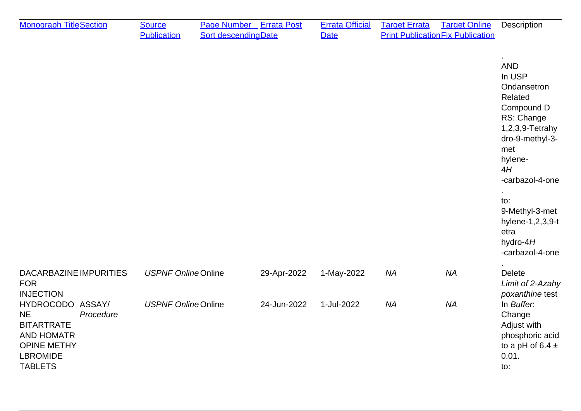| <b>Monograph TitleSection</b>                                                                                                                   | <b>Source</b><br><b>Publication</b> | <b>Page Number</b> Errata Post<br>Sort descending Date |             | <b>Errata Official</b><br><b>Date</b> | <b>Target Errata</b> | <b>Target Online</b><br><b>Print Publication Fix Publication</b> | Description                                                                                                                                                                                                                                        |
|-------------------------------------------------------------------------------------------------------------------------------------------------|-------------------------------------|--------------------------------------------------------|-------------|---------------------------------------|----------------------|------------------------------------------------------------------|----------------------------------------------------------------------------------------------------------------------------------------------------------------------------------------------------------------------------------------------------|
|                                                                                                                                                 |                                     |                                                        |             |                                       |                      |                                                                  | <b>AND</b><br>In USP<br>Ondansetron<br>Related<br>Compound D<br>RS: Change<br>1,2,3,9-Tetrahy<br>dro-9-methyl-3-<br>met<br>hylene-<br>4H<br>-carbazol-4-one<br>to:<br>9-Methyl-3-met<br>hylene-1,2,3,9-t<br>etra<br>hydro- $4H$<br>-carbazol-4-one |
| DACARBAZINE IMPURITIES<br><b>FOR</b><br><b>INJECTION</b>                                                                                        | <b>USPNF Online Online</b>          |                                                        | 29-Apr-2022 | 1-May-2022                            | <b>NA</b>            | <b>NA</b>                                                        | <b>Delete</b><br>Limit of 2-Azahy<br>poxanthine test                                                                                                                                                                                               |
| HYDROCODO ASSAY/<br><b>NE</b><br>Procedure<br><b>BITARTRATE</b><br><b>AND HOMATR</b><br><b>OPINE METHY</b><br><b>LBROMIDE</b><br><b>TABLETS</b> | <b>USPNF Online Online</b>          |                                                        | 24-Jun-2022 | 1-Jul-2022                            | <b>NA</b>            | <b>NA</b>                                                        | In Buffer.<br>Change<br>Adjust with<br>phosphoric acid<br>to a pH of 6.4 $\pm$<br>0.01.<br>to:                                                                                                                                                     |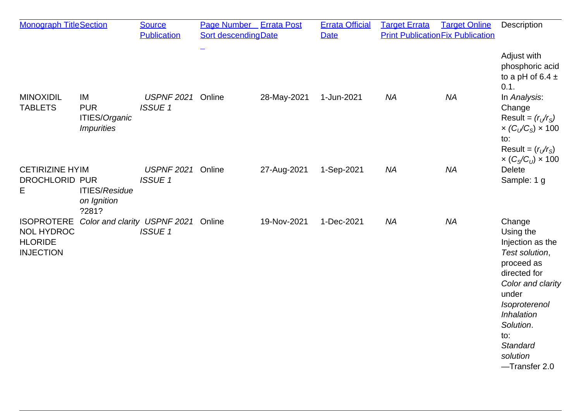| <b>Monograph TitleSection</b>                                                |                                                               | <b>Source</b><br><b>Publication</b>           | Page Number Errata Post<br><b>Sort descendingDate</b> |             | <b>Errata Official</b><br><b>Date</b> | <b>Target Errata</b> | <b>Target Online</b><br><b>Print Publication Fix Publication</b> | Description                                                                                                                                                                                                       |
|------------------------------------------------------------------------------|---------------------------------------------------------------|-----------------------------------------------|-------------------------------------------------------|-------------|---------------------------------------|----------------------|------------------------------------------------------------------|-------------------------------------------------------------------------------------------------------------------------------------------------------------------------------------------------------------------|
|                                                                              |                                                               |                                               |                                                       |             |                                       |                      |                                                                  | Adjust with<br>phosphoric acid<br>to a pH of 6.4 $\pm$<br>0.1.                                                                                                                                                    |
| <b>MINOXIDIL</b><br><b>TABLETS</b>                                           | IM<br><b>PUR</b><br>ITIES/Organic<br><i><b>Impurities</b></i> | <b>USPNF 2021</b><br><b>ISSUE1</b>            | Online                                                | 28-May-2021 | 1-Jun-2021                            | <b>NA</b>            | <b>NA</b>                                                        | In Analysis:<br>Change<br>Result = $(rU/rS)$<br>$\times$ (C <sub>U</sub> /C <sub>S</sub> ) $\times$ 100<br>to:<br>Result = $(r_v/r_s)$<br>$\times (C_S/C_U) \times 100$                                           |
| <b>CETIRIZINE HYIM</b><br><b>DROCHLORID PUR</b><br>Е                         | <b>ITIES/Residue</b><br>on Ignition<br>?281?                  | <b>USPNF 2021</b><br><b>ISSUE 1</b>           | Online                                                | 27-Aug-2021 | 1-Sep-2021                            | <b>NA</b>            | <b>NA</b>                                                        | <b>Delete</b><br>Sample: 1 g                                                                                                                                                                                      |
| <b>ISOPROTERE</b><br><b>NOL HYDROC</b><br><b>HLORIDE</b><br><b>INJECTION</b> |                                                               | Color and clarity USPNF 2021<br><b>ISSUE1</b> | Online                                                | 19-Nov-2021 | 1-Dec-2021                            | <b>NA</b>            | <b>NA</b>                                                        | Change<br>Using the<br>Injection as the<br>Test solution,<br>proceed as<br>directed for<br>Color and clarity<br>under<br>Isoproterenol<br>Inhalation<br>Solution.<br>to:<br>Standard<br>solution<br>-Transfer 2.0 |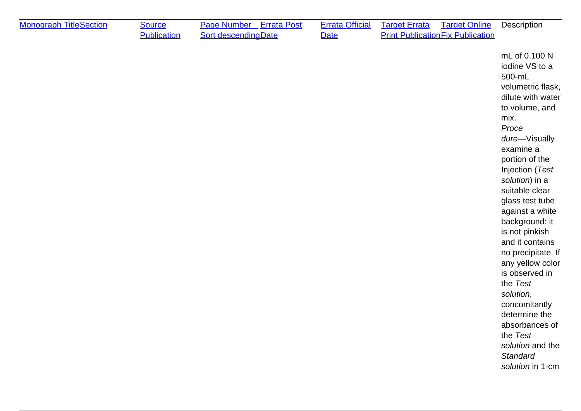| <b>Monograph TitleSection</b> | <b>Source</b><br><b>Publication</b> | Page Number Errata Post<br><b>Sort descendingDate</b> | <b>Errata Official</b><br><b>Date</b> | <b>Target Errata</b> | <b>Target Online</b><br><b>Print Publication Fix Publication</b> | Description                                                                                                                                                                                                                                                                                                                                                                                                                                                                                                                         |
|-------------------------------|-------------------------------------|-------------------------------------------------------|---------------------------------------|----------------------|------------------------------------------------------------------|-------------------------------------------------------------------------------------------------------------------------------------------------------------------------------------------------------------------------------------------------------------------------------------------------------------------------------------------------------------------------------------------------------------------------------------------------------------------------------------------------------------------------------------|
|                               |                                     |                                                       |                                       |                      |                                                                  | mL of 0.100 N<br>iodine VS to a<br>500-mL<br>volumetric flask,<br>dilute with water<br>to volume, and<br>mix.<br>Proce<br>dure-Visually<br>examine a<br>portion of the<br>Injection (Test<br>solution) in a<br>suitable clear<br>glass test tube<br>against a white<br>background: it<br>is not pinkish<br>and it contains<br>no precipitate. If<br>any yellow color<br>is observed in<br>the Test<br>solution,<br>concomitantly<br>determine the<br>absorbances of<br>the Test<br>solution and the<br>Standard<br>solution in 1-cm |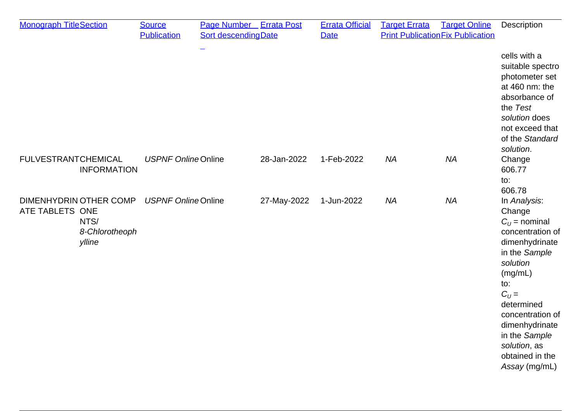| <b>Monograph TitleSection</b>                                                        | <b>Source</b><br><b>Publication</b> | Page Number Errata Post<br><b>Sort descending Date</b> |             | <b>Errata Official</b><br><b>Date</b> | <b>Target Errata</b> | <b>Target Online</b><br><b>Print Publication Fix Publication</b> | Description                                                                                                                                                                                                                                                           |
|--------------------------------------------------------------------------------------|-------------------------------------|--------------------------------------------------------|-------------|---------------------------------------|----------------------|------------------------------------------------------------------|-----------------------------------------------------------------------------------------------------------------------------------------------------------------------------------------------------------------------------------------------------------------------|
|                                                                                      |                                     | $\overline{\phantom{0}}$                               |             |                                       |                      |                                                                  | cells with a<br>suitable spectro<br>photometer set<br>at 460 nm: the<br>absorbance of<br>the Test<br>solution does<br>not exceed that<br>of the Standard<br>solution.                                                                                                 |
| <b>FULVESTRANTCHEMICAL</b><br><b>INFORMATION</b>                                     | <b>USPNF Online Online</b>          |                                                        | 28-Jan-2022 | 1-Feb-2022                            | <b>NA</b>            | <b>NA</b>                                                        | Change<br>606.77<br>to:<br>606.78                                                                                                                                                                                                                                     |
| <b>DIMENHYDRIN OTHER COMP</b><br>ATE TABLETS ONE<br>NTS/<br>8-Chlorotheoph<br>ylline | <b>USPNF Online Online</b>          |                                                        | 27-May-2022 | 1-Jun-2022                            | <b>NA</b>            | <b>NA</b>                                                        | In Analysis:<br>Change<br>$C_{11}$ = nominal<br>concentration of<br>dimenhydrinate<br>in the Sample<br>solution<br>(mg/mL)<br>to:<br>$C_U =$<br>determined<br>concentration of<br>dimenhydrinate<br>in the Sample<br>solution, as<br>obtained in the<br>Assay (mg/mL) |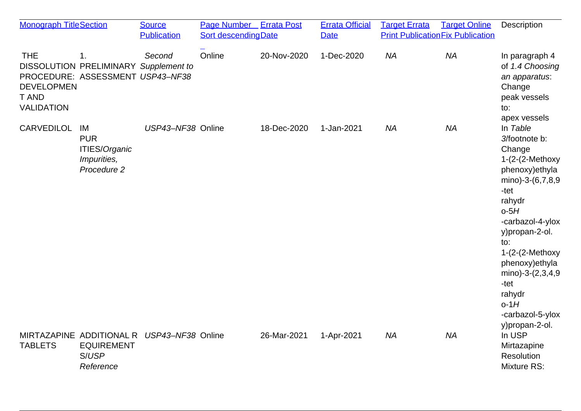| <b>Monograph TitleSection</b>                                        |                                                                                 | <b>Source</b><br><b>Publication</b>        | Page Number Errata Post<br>Sort descending Date |             | <b>Errata Official</b><br><b>Date</b> | <b>Target Errata</b> | <b>Target Online</b><br><b>Print Publication Fix Publication</b> | Description                                                                                                                                                                                                                                                                                            |
|----------------------------------------------------------------------|---------------------------------------------------------------------------------|--------------------------------------------|-------------------------------------------------|-------------|---------------------------------------|----------------------|------------------------------------------------------------------|--------------------------------------------------------------------------------------------------------------------------------------------------------------------------------------------------------------------------------------------------------------------------------------------------------|
| <b>THE</b><br><b>DEVELOPMEN</b><br><b>T AND</b><br><b>VALIDATION</b> | 1.<br>DISSOLUTION PRELIMINARY Supplement to<br>PROCEDURE: ASSESSMENT USP43-NF38 | Second                                     | Online                                          | 20-Nov-2020 | 1-Dec-2020                            | <b>NA</b>            | <b>NA</b>                                                        | In paragraph 4<br>of 1.4 Choosing<br>an apparatus:<br>Change<br>peak vessels<br>to:<br>apex vessels                                                                                                                                                                                                    |
| <b>CARVEDILOL</b>                                                    | IM<br><b>PUR</b><br><b>ITIES/Organic</b><br>Impurities,<br>Procedure 2          | USP43-NF38 Online                          |                                                 | 18-Dec-2020 | 1-Jan-2021                            | <b>NA</b>            | <b>NA</b>                                                        | In Table<br>3/footnote b:<br>Change<br>$1-(2-(2-Methoxy$<br>phenoxy) ethyla<br>mino)-3-(6,7,8,9<br>-tet<br>rahydr<br>$o-5H$<br>-carbazol-4-ylox<br>y)propan-2-ol.<br>to:<br>$1-(2-(2-Methoxy$<br>phenoxy) ethyla<br>mino)-3-(2,3,4,9<br>-tet<br>rahydr<br>$o-1H$<br>-carbazol-5-ylox<br>y)propan-2-ol. |
| <b>TABLETS</b>                                                       | <b>EQUIREMENT</b><br>S/USP<br>Reference                                         | MIRTAZAPINE ADDITIONAL R USP43-NF38 Online |                                                 | 26-Mar-2021 | 1-Apr-2021                            | <b>NA</b>            | <b>NA</b>                                                        | In USP<br>Mirtazapine<br>Resolution<br><b>Mixture RS:</b>                                                                                                                                                                                                                                              |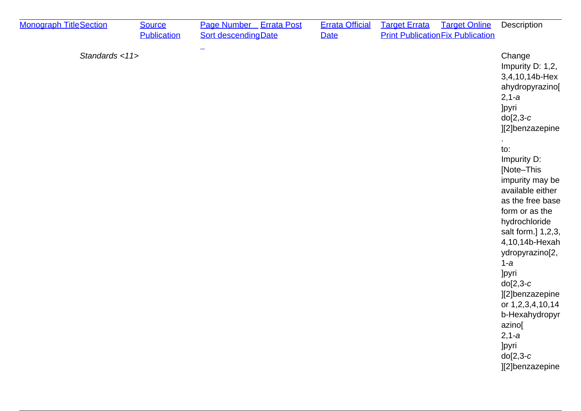| <b>Monograph TitleSection</b> | <b>Source</b><br><b>Publication</b> | Page Number Errata Post<br><b>Sort descending Date</b> | <b>Errata Official</b><br><b>Date</b> | <b>Target Errata</b> | <b>Target Online</b><br><b>Print Publication Fix Publication</b> | Description                                                                                                                                                                                                                                                                                                                                                                                                                                                                           |
|-------------------------------|-------------------------------------|--------------------------------------------------------|---------------------------------------|----------------------|------------------------------------------------------------------|---------------------------------------------------------------------------------------------------------------------------------------------------------------------------------------------------------------------------------------------------------------------------------------------------------------------------------------------------------------------------------------------------------------------------------------------------------------------------------------|
| Standards <11>                |                                     |                                                        |                                       |                      |                                                                  | Change<br>Impurity D: 1,2,<br>3,4,10,14b-Hex<br>ahydropyrazino[<br>$2, 1-a$<br><b>Jpyri</b><br>$do[2,3-c]$<br>][2]benzazepine<br>to:<br>Impurity D:<br>[Note-This<br>impurity may be<br>available either<br>as the free base<br>form or as the<br>hydrochloride<br>salt form.] 1,2,3,<br>4,10,14b-Hexah<br>ydropyrazino[2,<br>$1-a$<br>]pyri<br>$do[2,3-c]$<br>][2]benzazepine<br>or 1,2,3,4,10,14<br>b-Hexahydropyr<br>azino[<br>$2, 1-a$<br>]pyri<br>$do[2,3-c]$<br>][2]benzazepine |
|                               |                                     |                                                        |                                       |                      |                                                                  |                                                                                                                                                                                                                                                                                                                                                                                                                                                                                       |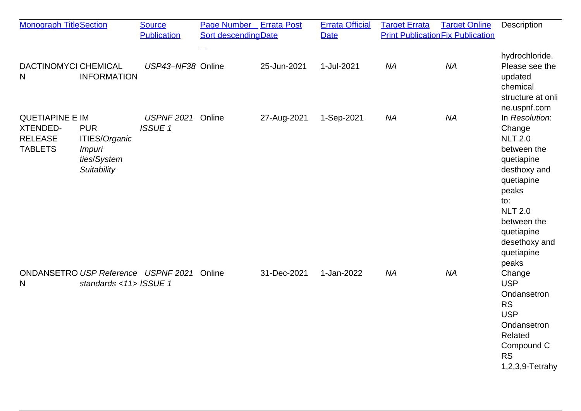| <b>Monograph TitleSection</b>                                                 |                                                                            | <b>Source</b><br><b>Publication</b> | Page Number Errata Post<br>Sort descending Date |             | <b>Errata Official</b><br><b>Date</b> | <b>Target Errata</b> | <b>Target Online</b><br><b>Print Publication Fix Publication</b> | Description                                                                                                                                                                                                  |
|-------------------------------------------------------------------------------|----------------------------------------------------------------------------|-------------------------------------|-------------------------------------------------|-------------|---------------------------------------|----------------------|------------------------------------------------------------------|--------------------------------------------------------------------------------------------------------------------------------------------------------------------------------------------------------------|
| <b>DACTINOMYCI CHEMICAL</b><br>N                                              | <b>INFORMATION</b>                                                         | USP43-NF38 Online                   |                                                 | 25-Jun-2021 | 1-Jul-2021                            | <b>NA</b>            | <b>NA</b>                                                        | hydrochloride.<br>Please see the<br>updated<br>chemical<br>structure at onli<br>ne.uspnf.com                                                                                                                 |
| <b>QUETIAPINE E IM</b><br><b>XTENDED-</b><br><b>RELEASE</b><br><b>TABLETS</b> | <b>PUR</b><br>ITIES/Organic<br><i>Impuri</i><br>ties/System<br>Suitability | <b>USPNF 2021</b><br><b>ISSUE 1</b> | Online                                          | 27-Aug-2021 | 1-Sep-2021                            | <b>NA</b>            | <b>NA</b>                                                        | In Resolution:<br>Change<br><b>NLT 2.0</b><br>between the<br>quetiapine<br>desthoxy and<br>quetiapine<br>peaks<br>to:<br><b>NLT 2.0</b><br>between the<br>quetiapine<br>desethoxy and<br>quetiapine<br>peaks |
| ONDANSETRO USP Reference USPNF 2021<br>N                                      | standards <11> ISSUE 1                                                     |                                     | Online                                          | 31-Dec-2021 | 1-Jan-2022                            | <b>NA</b>            | <b>NA</b>                                                        | Change<br><b>USP</b><br>Ondansetron<br><b>RS</b><br><b>USP</b><br>Ondansetron<br>Related<br>Compound C<br><b>RS</b><br>$1,2,3,9$ -Tetrahy                                                                    |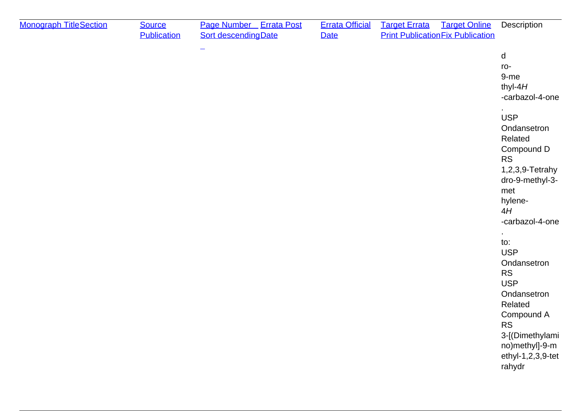| <b>Monograph TitleSection</b> | <b>Source</b><br><b>Publication</b> | Page Number Errata Post<br><b>Sort descendingDate</b> | <b>Errata Official</b><br>Date | <b>Target Online</b><br><b>Target Errata</b><br><b>Print Publication Fix Publication</b> | Description                                                                                                                                                                                                                                                                                                                                                                                        |
|-------------------------------|-------------------------------------|-------------------------------------------------------|--------------------------------|------------------------------------------------------------------------------------------|----------------------------------------------------------------------------------------------------------------------------------------------------------------------------------------------------------------------------------------------------------------------------------------------------------------------------------------------------------------------------------------------------|
|                               |                                     | $\equiv$                                              |                                |                                                                                          | d<br>ro-<br>$9-me$<br>thyl- $4H$<br>-carbazol-4-one<br><b>USP</b><br>Ondansetron<br>Related<br>Compound D<br><b>RS</b><br>1,2,3,9-Tetrahy<br>dro-9-methyl-3-<br>met<br>hylene-<br>4H<br>-carbazol-4-one<br>$\bullet$<br>to:<br><b>USP</b><br>Ondansetron<br><b>RS</b><br><b>USP</b><br>Ondansetron<br>Related<br>Compound A<br><b>RS</b><br>3-[(Dimethylami<br>no)methyl]-9-m<br>ethyl-1,2,3,9-tet |
|                               |                                     |                                                       |                                |                                                                                          | rahydr                                                                                                                                                                                                                                                                                                                                                                                             |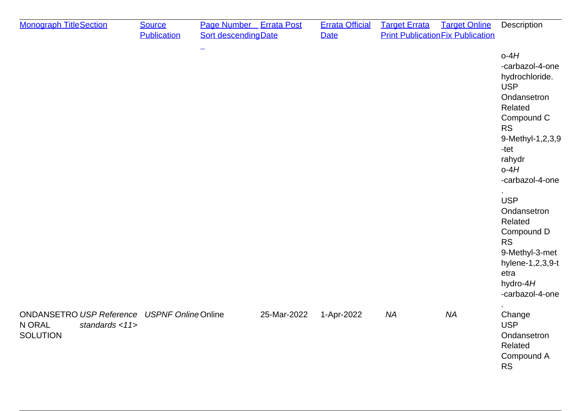| <b>Monograph TitleSection</b>                                                     | <b>Source</b><br><b>Publication</b> | Page Number Errata Post<br>Sort descending Date |             | <b>Errata Official</b><br><b>Date</b> | <b>Target Errata</b> | <b>Target Online</b><br><b>Print Publication Fix Publication</b> | Description                                                                                                                                                                                                                                                                                                                          |
|-----------------------------------------------------------------------------------|-------------------------------------|-------------------------------------------------|-------------|---------------------------------------|----------------------|------------------------------------------------------------------|--------------------------------------------------------------------------------------------------------------------------------------------------------------------------------------------------------------------------------------------------------------------------------------------------------------------------------------|
|                                                                                   |                                     | $\overline{\phantom{0}}$                        |             |                                       |                      |                                                                  | $o-4H$<br>-carbazol-4-one<br>hydrochloride.<br><b>USP</b><br>Ondansetron<br>Related<br>Compound C<br><b>RS</b><br>9-Methyl-1,2,3,9<br>-tet<br>rahydr<br>$o-4H$<br>-carbazol-4-one<br><b>USP</b><br>Ondansetron<br>Related<br>Compound D<br><b>RS</b><br>9-Methyl-3-met<br>hylene-1,2,3,9-t<br>etra<br>hydro- $4H$<br>-carbazol-4-one |
| <b>ONDANSETRO USP Reference</b><br>N ORAL<br>standards $<$ 11><br><b>SOLUTION</b> | <b>USPNF Online Online</b>          |                                                 | 25-Mar-2022 | 1-Apr-2022                            | <b>NA</b>            | <b>NA</b>                                                        | Change<br><b>USP</b><br>Ondansetron<br>Related<br>Compound A<br><b>RS</b>                                                                                                                                                                                                                                                            |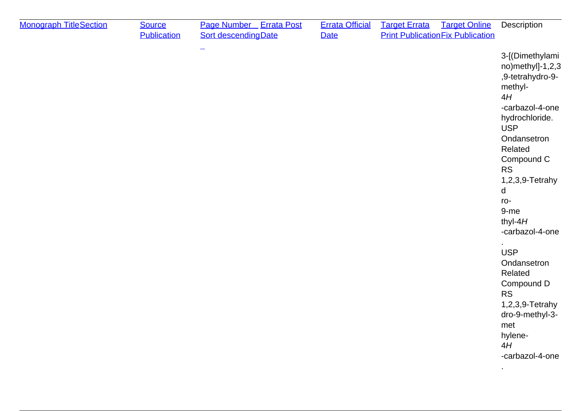| <b>Monograph TitleSection</b> | <b>Source</b><br><b>Publication</b> | Page Number Errata Post<br><b>Sort descending Date</b> | <b>Errata Official</b><br><b>Date</b> | <b>Target Errata</b><br><b>Target Online</b><br><b>Print Publication Fix Publication</b> | Description                                                                                                                                                                                                                                                                                                                                                                                                               |
|-------------------------------|-------------------------------------|--------------------------------------------------------|---------------------------------------|------------------------------------------------------------------------------------------|---------------------------------------------------------------------------------------------------------------------------------------------------------------------------------------------------------------------------------------------------------------------------------------------------------------------------------------------------------------------------------------------------------------------------|
|                               |                                     | $\overline{\phantom{0}}$                               |                                       |                                                                                          | 3-[(Dimethylami<br>no)methyl]-1,2,3<br>,9-tetrahydro-9-<br>methyl-<br>4H<br>-carbazol-4-one<br>hydrochloride.<br><b>USP</b><br>Ondansetron<br>Related<br>Compound C<br><b>RS</b><br>1,2,3,9-Tetrahy<br>d<br>ro-<br>9-me<br>thyl- $4H$<br>-carbazol-4-one<br><b>USP</b><br>Ondansetron<br>Related<br>Compound D<br><b>RS</b><br>1,2,3,9-Tetrahy<br>dro-9-methyl-3-<br>met<br>hylene-<br>4H<br>-carbazol-4-one<br>$\bullet$ |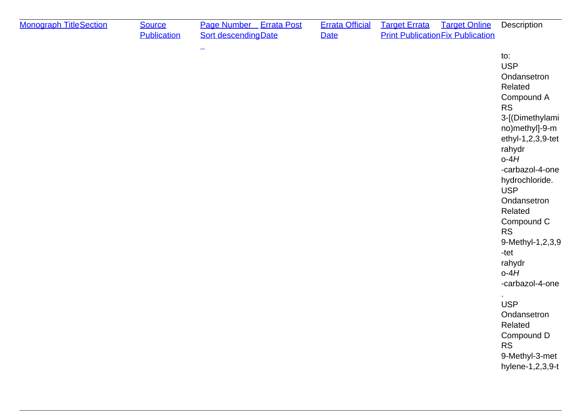| <b>Monograph TitleSection</b> | <b>Source</b><br><b>Publication</b> | Page Number Errata Post<br><b>Sort descending Date</b> | <b>Errata Official</b><br><b>Date</b> | <b>Target Errata</b><br><b>Target Online</b><br><b>Print Publication Fix Publication</b> | Description                                                                                                                                                                                                                                                                                                                                                                                                                       |
|-------------------------------|-------------------------------------|--------------------------------------------------------|---------------------------------------|------------------------------------------------------------------------------------------|-----------------------------------------------------------------------------------------------------------------------------------------------------------------------------------------------------------------------------------------------------------------------------------------------------------------------------------------------------------------------------------------------------------------------------------|
|                               |                                     | $\overline{\phantom{0}}$                               |                                       |                                                                                          | to:<br><b>USP</b><br>Ondansetron<br>Related<br>Compound A<br><b>RS</b><br>3-[(Dimethylami<br>no)methyl]-9-m<br>ethyl-1,2,3,9-tet<br>rahydr<br>$o-4H$<br>-carbazol-4-one<br>hydrochloride.<br><b>USP</b><br>Ondansetron<br>Related<br>Compound C<br><b>RS</b><br>9-Methyl-1,2,3,9<br>-tet<br>rahydr<br>$o-4H$<br>-carbazol-4-one<br><b>USP</b><br>Ondansetron<br>Related<br>Compound D<br>RS<br>9-Methyl-3-met<br>hylene-1,2,3,9-t |
|                               |                                     |                                                        |                                       |                                                                                          |                                                                                                                                                                                                                                                                                                                                                                                                                                   |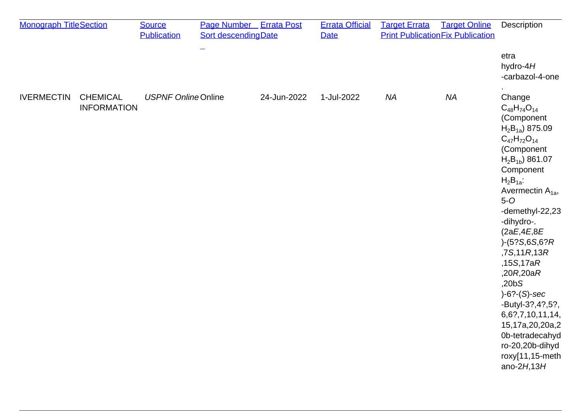| <b>Monograph TitleSection</b> |                                       | <b>Source</b>              | Page Number Errata Post     |             | <b>Errata Official</b> | <b>Target Errata</b> | <b>Target Online</b>                     | Description                                                                                                                                                                                                                                                                                                                                                                                                                                                                              |
|-------------------------------|---------------------------------------|----------------------------|-----------------------------|-------------|------------------------|----------------------|------------------------------------------|------------------------------------------------------------------------------------------------------------------------------------------------------------------------------------------------------------------------------------------------------------------------------------------------------------------------------------------------------------------------------------------------------------------------------------------------------------------------------------------|
|                               |                                       | <b>Publication</b>         | <b>Sort descending Date</b> |             | <b>Date</b>            |                      | <b>Print Publication Fix Publication</b> |                                                                                                                                                                                                                                                                                                                                                                                                                                                                                          |
|                               |                                       |                            |                             |             |                        |                      |                                          | etra<br>hydro- $4H$<br>-carbazol-4-one                                                                                                                                                                                                                                                                                                                                                                                                                                                   |
| <b>IVERMECTIN</b>             | <b>CHEMICAL</b><br><b>INFORMATION</b> | <b>USPNF Online Online</b> |                             | 24-Jun-2022 | 1-Jul-2022             | <b>NA</b>            | <b>NA</b>                                | Change<br>$C_{48}H_{74}O_{14}$<br>(Component<br>$H_2B_{1a}$ ) 875.09<br>$C_{47}H_{72}O_{14}$<br>(Component<br>$H_2B_{1b}$ 861.07<br>Component<br>$H_2B_{1a}$ :<br>Avermectin $A_{1a}$ ,<br>$5-0$<br>-demethyl-22,23<br>-dihydro-.<br>(2aE, 4E, 8E)<br>$)-(5?S, 6S, 6?R)$<br>,7S,11R,13R<br>,15S,17aR<br>,20R,20aR<br>,20bS<br>$)-6?-(S)-sec$<br>-Butyl-3?, 4?, 5?,<br>6,6?,7,10,11,14,<br>15,17a,20,20a,2<br>0b-tetradecahyd<br>ro-20,20b-dihyd<br>roxy[11,15-meth<br>ano-2 $H$ , 13 $H$ |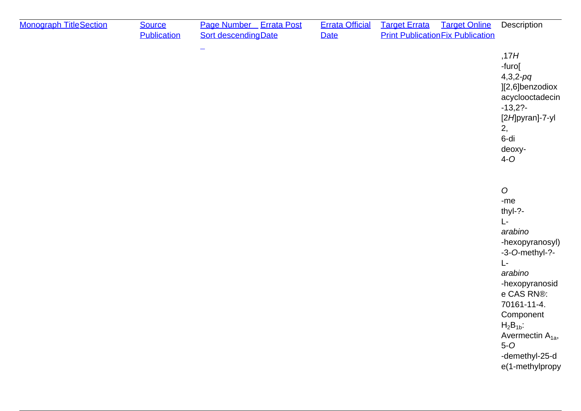| <b>Monograph TitleSection</b> | <b>Source</b><br><b>Publication</b> | Page Number Errata Post<br><b>Sort descending Date</b> | <b>Errata Official</b><br><b>Date</b> | <b>Target Errata</b> | <b>Target Online</b><br><b>Print Publication Fix Publication</b> | Description                                                                                                                                                                                                                                                     |
|-------------------------------|-------------------------------------|--------------------------------------------------------|---------------------------------------|----------------------|------------------------------------------------------------------|-----------------------------------------------------------------------------------------------------------------------------------------------------------------------------------------------------------------------------------------------------------------|
|                               |                                     |                                                        |                                       |                      |                                                                  | ,17H<br>-furo[<br>$4,3,2-pq$<br>][2,6]benzodiox<br>acyclooctadecin<br>$-13,2?$<br>[2H]pyran]-7-yl<br>2,<br>6-di<br>deoxy-<br>$4-0$                                                                                                                              |
|                               |                                     |                                                        |                                       |                      |                                                                  | $\boldsymbol{O}$<br>$-me$<br>thyl-?-<br>L-<br>arabino<br>-hexopyranosyl)<br>-3-O-methyl-?-<br>L-<br>arabino<br>-hexopyranosid<br>e CAS RN®:<br>70161-11-4.<br>Component<br>$H_2B_{1b}$ :<br>Avermectin $A_{1a}$ ,<br>$5-0$<br>-demethyl-25-d<br>e(1-methylpropy |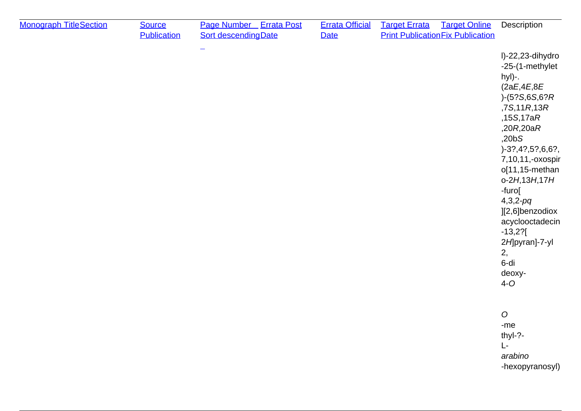| <b>Monograph TitleSection</b> | <b>Source</b><br><b>Publication</b> | Page Number Errata Post<br><b>Sort descending Date</b> | <b>Errata Official</b><br>Date | <b>Target Errata</b> | <b>Target Online</b><br><b>Print Publication Fix Publication</b> | Description                                                                                                                                                                                                                                                                                                                                              |
|-------------------------------|-------------------------------------|--------------------------------------------------------|--------------------------------|----------------------|------------------------------------------------------------------|----------------------------------------------------------------------------------------------------------------------------------------------------------------------------------------------------------------------------------------------------------------------------------------------------------------------------------------------------------|
|                               |                                     |                                                        |                                |                      |                                                                  | I)-22,23-dihydro<br>-25-(1-methylet<br>hyl)-.<br>(2aE, 4E, 8E)<br>$)-(5?S, 6S, 6?R)$<br>,7S,11R,13R<br>,15S,17aR<br>,20R,20aR<br>,20bS<br>$)-3?,4?,5?,6,6?,$<br>7,10,11,-oxospir<br>o[11,15-methan<br>$0 - 2H$ , 13H, 17H<br>-furo[<br>$4,3,2-pq$<br>][2,6]benzodiox<br>acyclooctadecin<br>$-13,2?$ [<br>2H pyran]-7-yl<br>2,<br>6-di<br>deoxy-<br>$4-0$ |
|                               |                                     |                                                        |                                |                      |                                                                  | $\boldsymbol{O}$<br>-me<br>thyl-?-<br>L-<br>arabino<br>-hexopyranosyl)                                                                                                                                                                                                                                                                                   |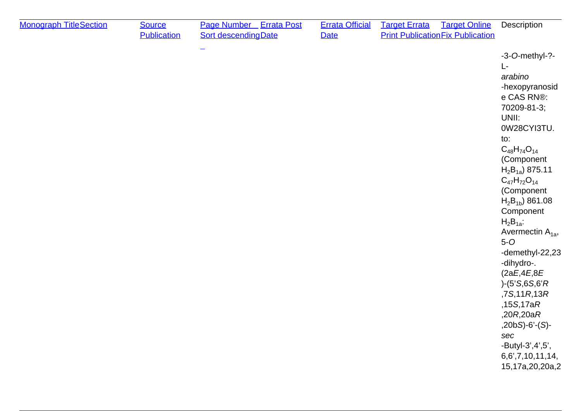| <b>Monograph TitleSection</b> | <b>Source</b><br><b>Publication</b> | Page Number Errata Post<br><b>Sort descending Date</b> | <b>Errata Official</b><br><b>Date</b> | <b>Target Errata</b><br><b>Target Online</b><br><b>Print Publication Fix Publication</b> | Description                                                                                                                                                                                                                                                                                                                                                                                                                                                                                                          |
|-------------------------------|-------------------------------------|--------------------------------------------------------|---------------------------------------|------------------------------------------------------------------------------------------|----------------------------------------------------------------------------------------------------------------------------------------------------------------------------------------------------------------------------------------------------------------------------------------------------------------------------------------------------------------------------------------------------------------------------------------------------------------------------------------------------------------------|
|                               |                                     |                                                        |                                       |                                                                                          | -3-O-methyl-?-<br>Ŀ<br>arabino<br>-hexopyranosid<br>e CAS RN®:<br>70209-81-3;<br>UNII:<br>0W28CYI3TU.<br>to:<br>$C_{48}H_{74}O_{14}$<br>(Component<br>$H_2B_{1a}$ ) 875.11<br>$C_{47}H_{72}O_{14}$<br>(Component<br>$H_2B_{1b}$ 861.08<br>Component<br>$H_2B_{1a}$ :<br>Avermectin $A_{1a}$ ,<br>$5-0$<br>-demethyl-22,23<br>-dihydro-.<br>(2aE, 4E, 8E)<br>$(-5'S, 6S, 6'R)$<br>,7S,11R,13R<br>,15S,17aR<br>,20R,20aR<br>$,20bS$ -6'- $(S)$ -<br>sec<br>$-Butyl-3', 4', 5',$<br>6,6',7,10,11,14,<br>15,17a,20,20a,2 |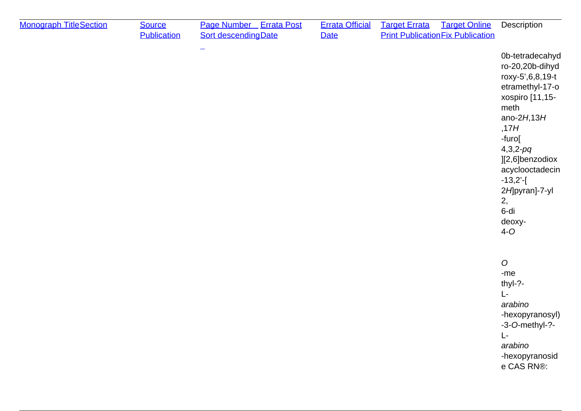| <b>Monograph TitleSection</b> | <b>Source</b><br><b>Publication</b> | Page Number Errata Post<br><b>Sort descending Date</b> | <b>Errata Official</b><br><b>Date</b> | <b>Target Errata</b><br><b>Print Publication Fix Publication</b> | <b>Target Online</b> | Description                                                                                                                                                                                                                                                           |
|-------------------------------|-------------------------------------|--------------------------------------------------------|---------------------------------------|------------------------------------------------------------------|----------------------|-----------------------------------------------------------------------------------------------------------------------------------------------------------------------------------------------------------------------------------------------------------------------|
|                               |                                     | -                                                      |                                       |                                                                  |                      | 0b-tetradecahyd<br>ro-20,20b-dihyd<br>roxy-5', 6, 8, 19-t<br>etramethyl-17-o<br>xospiro [11,15-<br>meth<br>ano-2 $H$ , 13 $H$<br>,17H<br>-furo[<br>$4,3,2-pq$<br>][2,6]benzodiox<br>acyclooctadecin<br>$-13,2'$ -[<br>2H pyran]-7-yl<br>2,<br>6-di<br>deoxy-<br>$4-0$ |
|                               |                                     |                                                        |                                       |                                                                  |                      | $\mathcal{O}$<br>$-me$<br>thyl-?-<br>Ŀ<br>arabino<br>-hexopyranosyl)<br>$-3$ -O-methyl-?-<br>L-<br>arabino<br>-hexopyranosid<br>e CAS RN®:                                                                                                                            |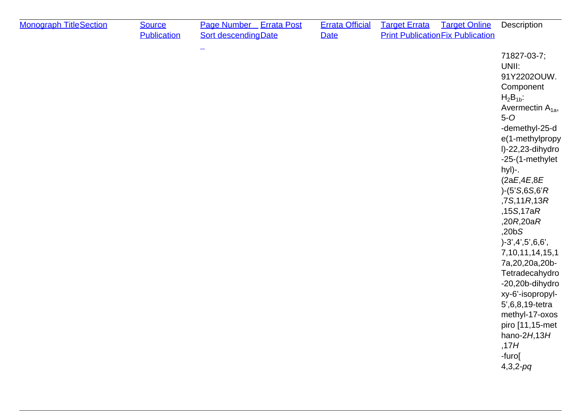| <b>Monograph TitleSection</b> | <b>Source</b><br><b>Publication</b> | Page Number Errata Post<br><b>Sort descendingDate</b> | <b>Errata Official</b><br><b>Date</b> | <b>Target Errata</b> | <b>Target Online</b><br><b>Print Publication Fix Publication</b> | Description                                                                                                                                                                                                                                                                                                                                                                                                                                                                                                                  |
|-------------------------------|-------------------------------------|-------------------------------------------------------|---------------------------------------|----------------------|------------------------------------------------------------------|------------------------------------------------------------------------------------------------------------------------------------------------------------------------------------------------------------------------------------------------------------------------------------------------------------------------------------------------------------------------------------------------------------------------------------------------------------------------------------------------------------------------------|
|                               |                                     |                                                       |                                       |                      |                                                                  | 71827-03-7;<br>UNII:<br>91Y2202OUW.<br>Component<br>$H_2B_{1b}$ :<br>Avermectin $A_{1a}$ ,<br>$5-0$<br>-demethyl-25-d<br>e(1-methylpropy<br>I)-22,23-dihydro<br>-25-(1-methylet<br>hyl)-.<br>(2aE, 4E, 8E)<br>$(-5'S, 6S, 6'R)$<br>,7S,11R,13R<br>,15S,17aR<br>,20R,20aR<br>,20bS<br>$)-3',4',5',6,6',$<br>7, 10, 11, 14, 15, 1<br>7a, 20, 20a, 20b-<br>Tetradecahydro<br>-20,20b-dihydro<br>xy-6'-isopropyl-<br>5', 6, 8, 19-tetra<br>methyl-17-oxos<br>piro [11,15-met<br>hano- $2H$ , 13H<br>,17H<br>-furo[<br>$4,3,2-pq$ |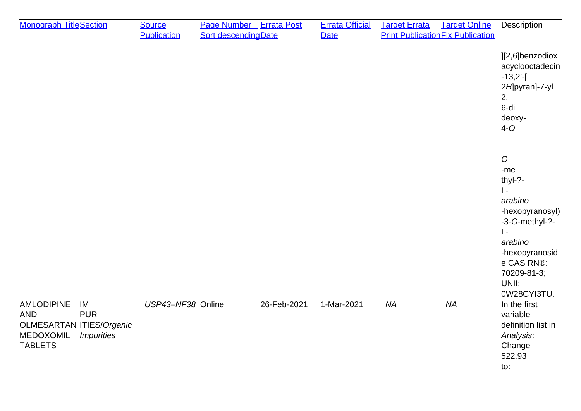| <b>Monograph TitleSection</b>                                                                                                                            | <b>Source</b><br><b>Publication</b> | Page Number Errata Post<br><b>Sort descending Date</b> |             | <b>Errata Official</b><br><b>Date</b> | <b>Target Errata</b> | <b>Target Online</b><br><b>Print Publication Fix Publication</b> | Description                                                                                                                                                                      |
|----------------------------------------------------------------------------------------------------------------------------------------------------------|-------------------------------------|--------------------------------------------------------|-------------|---------------------------------------|----------------------|------------------------------------------------------------------|----------------------------------------------------------------------------------------------------------------------------------------------------------------------------------|
|                                                                                                                                                          |                                     |                                                        |             |                                       |                      |                                                                  | ][2,6]benzodiox<br>acyclooctadecin<br>$-13,2'$ -[<br>2H]pyran]-7-yl<br>2,<br>6-di<br>deoxy-<br>$4-0$                                                                             |
|                                                                                                                                                          |                                     |                                                        |             |                                       |                      |                                                                  | $\boldsymbol{O}$<br>-me<br>thyl-?-<br>L-<br>arabino<br>-hexopyranosyl)<br>-3-O-methyl-?-<br>L-<br>arabino<br>-hexopyranosid<br>e CAS RN®:<br>70209-81-3;<br>UNII:<br>0W28CYI3TU. |
| <b>AMLODIPINE</b><br>IM<br><b>AND</b><br><b>PUR</b><br><b>OLMESARTAN ITIES/Organic</b><br><b>MEDOXOMIL</b><br><i><b>Impurities</b></i><br><b>TABLETS</b> | USP43-NF38 Online                   |                                                        | 26-Feb-2021 | 1-Mar-2021                            | <b>NA</b>            | <b>NA</b>                                                        | In the first<br>variable<br>definition list in<br>Analysis:<br>Change<br>522.93<br>to:                                                                                           |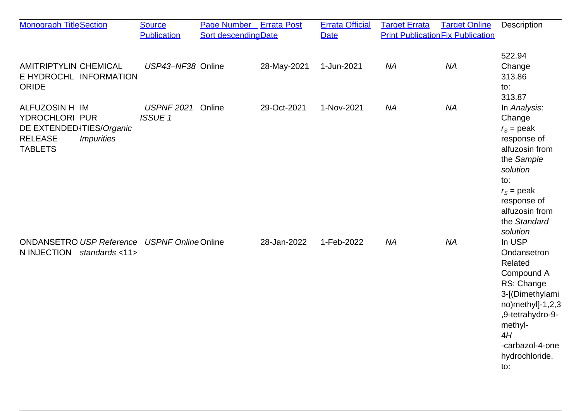| <b>Monograph TitleSection</b>                                                                                                | <b>Source</b><br><b>Publication</b> | Page Number Errata Post<br><b>Sort descendingDate</b> |             | <b>Errata Official</b><br><b>Date</b> | <b>Target Errata</b> | <b>Target Online</b><br><b>Print Publication Fix Publication</b> | Description                                                                                                                                                                           |
|------------------------------------------------------------------------------------------------------------------------------|-------------------------------------|-------------------------------------------------------|-------------|---------------------------------------|----------------------|------------------------------------------------------------------|---------------------------------------------------------------------------------------------------------------------------------------------------------------------------------------|
| <b>AMITRIPTYLIN CHEMICAL</b><br>E HYDROCHL INFORMATION<br><b>ORIDE</b>                                                       | USP43-NF38 Online                   |                                                       | 28-May-2021 | 1-Jun-2021                            | <b>NA</b>            | <b>NA</b>                                                        | 522.94<br>Change<br>313.86<br>to:<br>313.87                                                                                                                                           |
| ALFUZOSIN H IM<br>YDROCHLORI PUR<br>DE EXTENDED4TIES/Organic<br><b>RELEASE</b><br><i><b>Impurities</b></i><br><b>TABLETS</b> | <b>USPNF 2021</b><br><b>ISSUE1</b>  | Online                                                | 29-Oct-2021 | 1-Nov-2021                            | <b>NA</b>            | <b>NA</b>                                                        | In Analysis:<br>Change<br>$r_s$ = peak<br>response of<br>alfuzosin from<br>the Sample<br>solution<br>to:<br>$r_s$ = peak<br>response of<br>alfuzosin from<br>the Standard<br>solution |
| <b>ONDANSETRO USP Reference</b><br>N INJECTION<br>standards <11>                                                             | <b>USPNF Online Online</b>          |                                                       | 28-Jan-2022 | 1-Feb-2022                            | <b>NA</b>            | <b>NA</b>                                                        | In USP<br>Ondansetron<br>Related<br>Compound A<br>RS: Change<br>3-[(Dimethylami<br>no)methyl]-1,2,3<br>,9-tetrahydro-9-<br>methyl-<br>4H<br>-carbazol-4-one<br>hydrochloride.<br>to:  |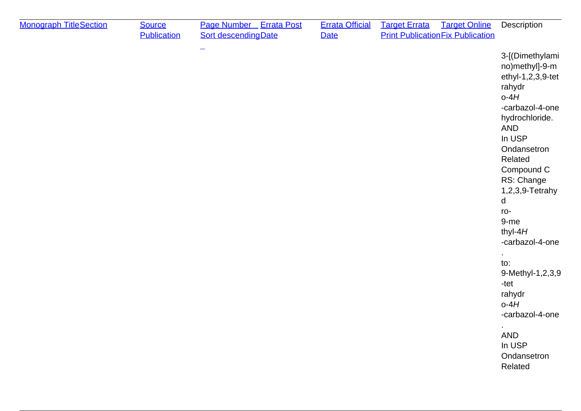| <b>Monograph TitleSection</b> | <b>Source</b><br><b>Publication</b> | Page Number Errata Post<br><b>Sort descending Date</b> | <b>Errata Official</b><br>Date | <b>Target Errata</b><br><b>Target Online</b><br><b>Print Publication Fix Publication</b> | Description                                                                                                                                                                                                                                                                                                                                                                                |
|-------------------------------|-------------------------------------|--------------------------------------------------------|--------------------------------|------------------------------------------------------------------------------------------|--------------------------------------------------------------------------------------------------------------------------------------------------------------------------------------------------------------------------------------------------------------------------------------------------------------------------------------------------------------------------------------------|
|                               |                                     | $\equiv$                                               |                                |                                                                                          | 3-[(Dimethylami<br>no)methyl]-9-m<br>ethyl-1,2,3,9-tet<br>rahydr<br>$o-4H$<br>-carbazol-4-one<br>hydrochloride.<br><b>AND</b><br>In USP<br>Ondansetron<br>Related<br>Compound C<br>RS: Change<br>1,2,3,9-Tetrahy<br>d<br>ro-<br>9-me<br>thyl- $4H$<br>-carbazol-4-one<br>to:<br>9-Methyl-1,2,3,9<br>-tet<br>rahydr<br>$o-4H$<br>-carbazol-4-one<br>AND<br>In USP<br>Ondansetron<br>Related |
|                               |                                     |                                                        |                                |                                                                                          |                                                                                                                                                                                                                                                                                                                                                                                            |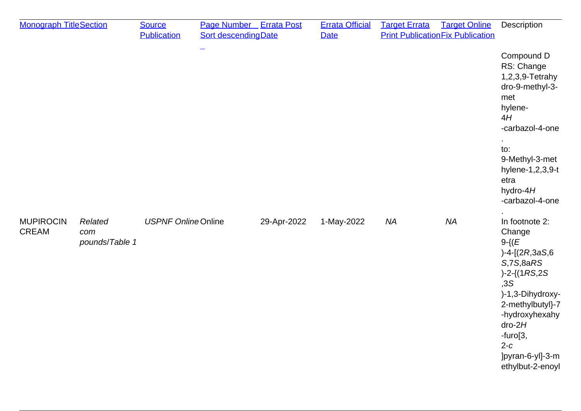| <b>Monograph TitleSection</b>    |                                  | <b>Source</b><br><b>Publication</b> | Page Number Errata Post<br><b>Sort descending Date</b> |             | <b>Errata Official</b><br><b>Date</b> | <b>Target Online</b><br><b>Target Errata</b><br><b>Print Publication Fix Publication</b> |           | Description                                                                                                                                                                                                                                   |
|----------------------------------|----------------------------------|-------------------------------------|--------------------------------------------------------|-------------|---------------------------------------|------------------------------------------------------------------------------------------|-----------|-----------------------------------------------------------------------------------------------------------------------------------------------------------------------------------------------------------------------------------------------|
|                                  |                                  |                                     |                                                        |             |                                       |                                                                                          |           | Compound D<br>RS: Change<br>1,2,3,9-Tetrahy<br>dro-9-methyl-3-<br>met<br>hylene-<br>4H<br>-carbazol-4-one<br>to:<br>9-Methyl-3-met<br>hylene-1,2,3,9-t<br>etra<br>hydro-4H<br>-carbazol-4-one                                                 |
| <b>MUPIROCIN</b><br><b>CREAM</b> | Related<br>com<br>pounds/Table 1 | <b>USPNF Online Online</b>          |                                                        | 29-Apr-2022 | 1-May-2022                            | <b>NA</b>                                                                                | <b>NA</b> | In footnote 2:<br>Change<br>$9 - \{ (E)$<br>$)-4 - [(2R, 3aS, 6]$<br>S, 7S, 8aRS<br>$)-2-(1RS,2S)$<br>, 3S<br>)-1,3-Dihydroxy-<br>2-methylbutyl}-7<br>-hydroxyhexahy<br>$dro-2H$<br>-furo[3,<br>$2-c$<br>]pyran-6-yl]-3-m<br>ethylbut-2-enoyl |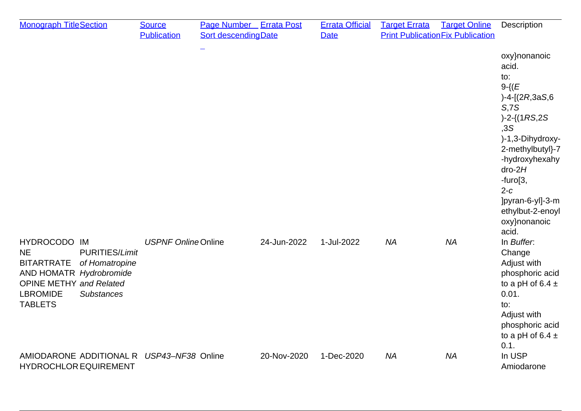| <b>Monograph TitleSection</b>                                                                                                                                                                                    | <b>Source</b><br><b>Publication</b> | Page Number Errata Post<br><b>Sort descendingDate</b> |             | <b>Errata Official</b><br><b>Date</b> | <b>Target Errata</b> | <b>Target Online</b><br><b>Print Publication Fix Publication</b> | Description                                                                                                                                                                                                                                                          |
|------------------------------------------------------------------------------------------------------------------------------------------------------------------------------------------------------------------|-------------------------------------|-------------------------------------------------------|-------------|---------------------------------------|----------------------|------------------------------------------------------------------|----------------------------------------------------------------------------------------------------------------------------------------------------------------------------------------------------------------------------------------------------------------------|
|                                                                                                                                                                                                                  |                                     |                                                       |             |                                       |                      |                                                                  | oxy}nonanoic<br>acid.<br>to:<br>$9 - \{ (E)$<br>$)-4 - [(2R, 3aS, 6]$<br>S, 7S<br>$)-2-(1RS,2S)$<br>, 3S<br>)-1,3-Dihydroxy-<br>2-methylbutyl}-7<br>-hydroxyhexahy<br>$dro-2H$<br>-furo[3,<br>$2-c$<br>]pyran-6-yl]-3-m<br>ethylbut-2-enoyl<br>oxy}nonanoic<br>acid. |
| HYDROCODO IM<br><b>NE</b><br><b>PURITIES/Limit</b><br><b>BITARTRATE</b><br>of Homatropine<br>AND HOMATR Hydrobromide<br><b>OPINE METHY and Related</b><br><b>LBROMIDE</b><br><b>Substances</b><br><b>TABLETS</b> | <b>USPNF Online Online</b>          |                                                       | 24-Jun-2022 | 1-Jul-2022                            | <b>NA</b>            | <b>NA</b>                                                        | In Buffer.<br>Change<br>Adjust with<br>phosphoric acid<br>to a pH of 6.4 $\pm$<br>0.01.<br>to:<br>Adjust with<br>phosphoric acid<br>to a pH of 6.4 $\pm$<br>0.1.                                                                                                     |
| AMIODARONE ADDITIONAL R<br><b>HYDROCHLOR EQUIREMENT</b>                                                                                                                                                          | USP43-NF38 Online                   |                                                       | 20-Nov-2020 | 1-Dec-2020                            | <b>NA</b>            | <b>NA</b>                                                        | In USP<br>Amiodarone                                                                                                                                                                                                                                                 |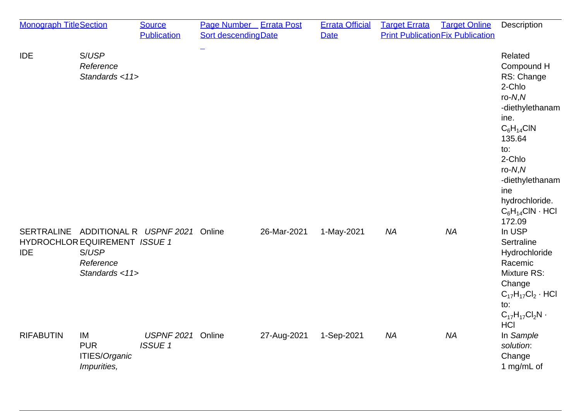| <b>Monograph TitleSection</b> |                                                                                                             | <b>Source</b><br><b>Publication</b> | Page Number Errata Post<br><b>Sort descendingDate</b> |             | <b>Errata Official</b><br><b>Date</b> | <b>Target Errata</b> | <b>Target Online</b><br><b>Print Publication Fix Publication</b> | Description                                                                                                                                                                                                                     |
|-------------------------------|-------------------------------------------------------------------------------------------------------------|-------------------------------------|-------------------------------------------------------|-------------|---------------------------------------|----------------------|------------------------------------------------------------------|---------------------------------------------------------------------------------------------------------------------------------------------------------------------------------------------------------------------------------|
| <b>IDE</b>                    | S/USP<br>Reference<br>Standards <11>                                                                        |                                     |                                                       |             |                                       |                      |                                                                  | Related<br>Compound H<br>RS: Change<br>2-Chlo<br>$ro-N,N$<br>-diethylethanam<br>ine.<br>$C_6H_{14}CIN$<br>135.64<br>to:<br>2-Chlo<br>$ro-N,N$<br>-diethylethanam<br>ine<br>hydrochloride.<br>$C_6H_{14}CIN \cdot HCI$<br>172.09 |
| <b>IDE</b>                    | SERTRALINE ADDITIONAL R USPNF 2021<br>HYDROCHLOR EQUIREMENT ISSUE 1<br>S/USP<br>Reference<br>Standards <11> |                                     | Online                                                | 26-Mar-2021 | 1-May-2021                            | <b>NA</b>            | <b>NA</b>                                                        | In USP<br>Sertraline<br>Hydrochloride<br>Racemic<br><b>Mixture RS:</b><br>Change<br>$C_{17}H_{17}Cl_2 \cdot HCl$<br>to:<br>$C_{17}H_{17}Cl_2N$ .<br><b>HCI</b>                                                                  |
| <b>RIFABUTIN</b>              | IM<br><b>PUR</b><br>ITIES/Organic<br>Impurities,                                                            | <b>USPNF 2021</b><br><b>ISSUE1</b>  | Online                                                | 27-Aug-2021 | 1-Sep-2021                            | <b>NA</b>            | <b>NA</b>                                                        | In Sample<br>solution:<br>Change<br>1 mg/mL of                                                                                                                                                                                  |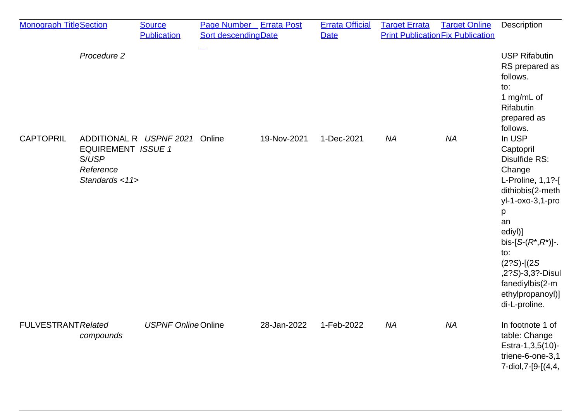| <b>Monograph TitleSection</b> |                                                                   | <b>Source</b><br><b>Publication</b> | Page Number Errata Post<br><b>Sort descendingDate</b> |             | <b>Errata Official</b><br><b>Date</b> | <b>Target Errata</b> | <b>Target Online</b><br><b>Print Publication Fix Publication</b> | Description                                                                                                                                                                                                                                                         |
|-------------------------------|-------------------------------------------------------------------|-------------------------------------|-------------------------------------------------------|-------------|---------------------------------------|----------------------|------------------------------------------------------------------|---------------------------------------------------------------------------------------------------------------------------------------------------------------------------------------------------------------------------------------------------------------------|
|                               | Procedure 2                                                       |                                     | $\overline{\phantom{0}}$                              |             |                                       |                      |                                                                  | <b>USP Rifabutin</b><br>RS prepared as<br>follows.<br>to:<br>1 mg/mL of<br>Rifabutin<br>prepared as<br>follows.                                                                                                                                                     |
| <b>CAPTOPRIL</b>              | <b>EQUIREMENT ISSUE 1</b><br>S/USP<br>Reference<br>Standards <11> | ADDITIONAL R USPNF 2021 Online      |                                                       | 19-Nov-2021 | 1-Dec-2021                            | <b>NA</b>            | <b>NA</b>                                                        | In USP<br>Captopril<br>Disulfide RS:<br>Change<br>L-Proline, 1,1?-[<br>dithiobis(2-meth<br>yl-1-oxo-3,1-pro<br>p<br>an<br>ediyl)]<br>bis-[ $S-(R^*,R^*)$ ]-.<br>to:<br>$(2?S)$ - $(2S)$<br>,2?S)-3,3?-Disul<br>fanediylbis(2-m<br>ethylpropanoyl)]<br>di-L-proline. |
| <b>FULVESTRANT Related</b>    | compounds                                                         | <b>USPNF Online Online</b>          |                                                       | 28-Jan-2022 | 1-Feb-2022                            | <b>NA</b>            | <b>NA</b>                                                        | In footnote 1 of<br>table: Change<br>Estra-1,3,5(10)-<br>triene-6-one-3,1<br>7-diol, 7-[9-[(4, 4,                                                                                                                                                                   |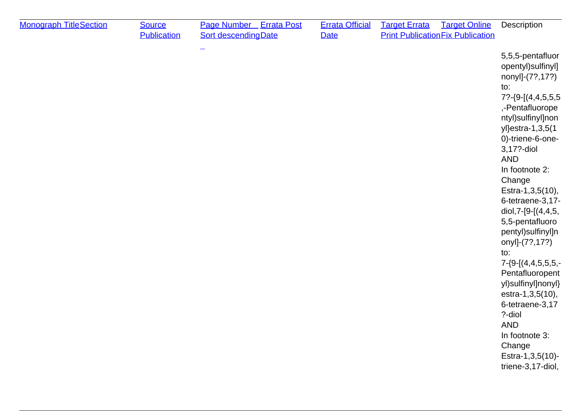| <b>Monograph TitleSection</b> | <b>Source</b><br><b>Publication</b> | Page Number Errata Post<br><b>Sort descendingDate</b> | <b>Errata Official</b><br><b>Date</b> | <b>Target Errata</b> | <b>Target Online</b><br><b>Print Publication Fix Publication</b> | Description                                                                                                                                                                                                                                                                                                                                                                                                                                                                                                                                                                          |
|-------------------------------|-------------------------------------|-------------------------------------------------------|---------------------------------------|----------------------|------------------------------------------------------------------|--------------------------------------------------------------------------------------------------------------------------------------------------------------------------------------------------------------------------------------------------------------------------------------------------------------------------------------------------------------------------------------------------------------------------------------------------------------------------------------------------------------------------------------------------------------------------------------|
|                               |                                     |                                                       |                                       |                      |                                                                  | 5,5,5-pentafluor<br>opentyl)sulfinyl]<br>nonyl]-(7?,17?)<br>to:<br>$7? - {9 - [(4,4,5,5,5,5,4)]}$<br>,-Pentafluorope<br>ntyl)sulfinyl]non<br>yl}estra-1,3,5(1<br>0)-triene-6-one-<br>3,17?-diol<br><b>AND</b><br>In footnote 2:<br>Change<br>Estra-1,3,5(10),<br>6-tetraene-3,17-<br>diol, 7-[9-[(4, 4, 5,<br>5,5-pentafluoro<br>pentyl)sulfinyl]n<br>onyl]-(7?,17?)<br>to:<br>$7 - \{9 - [(4, 4, 5, 5, 5, -]$<br>Pentafluoropent<br>yl)sulfinyl]nonyl}<br>estra-1,3,5(10),<br>6-tetraene-3,17<br>?-diol<br>AND<br>In footnote 3:<br>Change<br>Estra-1,3,5(10)-<br>triene-3,17-diol, |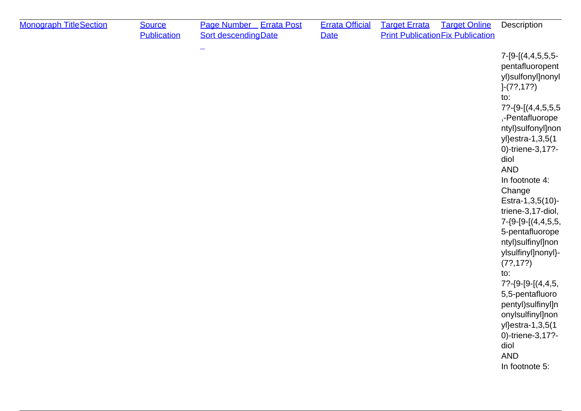| pentafluoropent<br>yl)sulfonyl]nonyl<br>$]-(7?, 17?)$<br>to:<br>,-Pentafluorope<br>ntyl)sulfonyl]non<br>yl}estra-1,3,5(1<br>0)-triene-3,17?-<br>diol<br><b>AND</b><br>In footnote 4:<br>Change<br>Estra-1,3,5(10)-<br>triene-3,17-diol,<br>$7 - \{9 - [9 - [(4, 4, 5, 5,$<br>5-pentafluorope<br>ntyl)sulfinyl]non<br>ylsulfinyl]nonyl}-<br>(7?, 17?)<br>to:<br>$7? - {9 - [9 - [(4, 4, 5,$<br>5,5-pentafluoro<br>pentyl)sulfinyl]n<br>onylsulfinyl]non<br>yl}estra-1,3,5(1<br>0)-triene-3,17?-<br>diol<br><b>AND</b><br>In footnote 5: |  |
|----------------------------------------------------------------------------------------------------------------------------------------------------------------------------------------------------------------------------------------------------------------------------------------------------------------------------------------------------------------------------------------------------------------------------------------------------------------------------------------------------------------------------------------|--|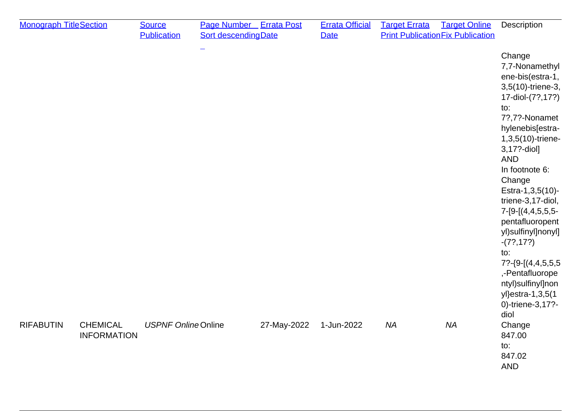| <b>Monograph TitleSection</b>                             | <b>Source</b><br><b>Publication</b> | Page Number Errata Post<br>Sort descending Date |             | <b>Errata Official</b><br><b>Date</b> | <b>Target Errata</b> | <b>Target Online</b><br><b>Print Publication Fix Publication</b> | Description                                                                                                                                                                                                                                                                                                                                                                                                                                           |
|-----------------------------------------------------------|-------------------------------------|-------------------------------------------------|-------------|---------------------------------------|----------------------|------------------------------------------------------------------|-------------------------------------------------------------------------------------------------------------------------------------------------------------------------------------------------------------------------------------------------------------------------------------------------------------------------------------------------------------------------------------------------------------------------------------------------------|
|                                                           |                                     |                                                 |             |                                       |                      |                                                                  | Change<br>7,7-Nonamethyl<br>ene-bis(estra-1,<br>3,5(10)-triene-3,<br>17-diol-(7?, 17?)<br>to:<br>7?,7?-Nonamet<br>hylenebis[estra-<br>1,3,5(10)-triene-<br>3,17?-diol]<br><b>AND</b><br>In footnote 6:<br>Change<br>Estra-1,3,5(10)-<br>triene-3,17-diol,<br>$7 - [9 - [(4, 4, 5, 5, 5, -1)]$<br>pentafluoropent<br>yl)sulfinyl]nonyl]<br>$-(7?, 17?)$<br>to:<br>,-Pentafluorope<br>ntyl)sulfinyl]non<br>yl}estra-1,3,5(1<br>0)-triene-3,17?-<br>diol |
| <b>RIFABUTIN</b><br><b>CHEMICAL</b><br><b>INFORMATION</b> | <b>USPNF Online Online</b>          |                                                 | 27-May-2022 | 1-Jun-2022                            | <b>NA</b>            | <b>NA</b>                                                        | Change<br>847.00<br>to:<br>847.02<br><b>AND</b>                                                                                                                                                                                                                                                                                                                                                                                                       |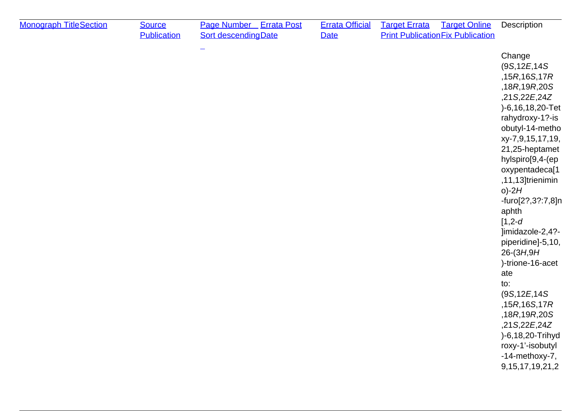| <b>Monograph TitleSection</b> | <b>Source</b><br><b>Publication</b> | Page Number Errata Post<br><b>Sort descendingDate</b> | <b>Errata Official</b><br><b>Date</b> | <b>Target Errata</b> | <b>Target Online</b><br><b>Print Publication Fix Publication</b> | Description                                                                                                                                                                                                                                                                                                                                                                                                                                                                                                                                            |
|-------------------------------|-------------------------------------|-------------------------------------------------------|---------------------------------------|----------------------|------------------------------------------------------------------|--------------------------------------------------------------------------------------------------------------------------------------------------------------------------------------------------------------------------------------------------------------------------------------------------------------------------------------------------------------------------------------------------------------------------------------------------------------------------------------------------------------------------------------------------------|
|                               |                                     |                                                       |                                       |                      |                                                                  | Change<br>(9S, 12E, 14S)<br>,15R,16S,17R<br>,18R,19R,20S<br>,21S,22E,24Z<br>)-6,16,18,20-Tet<br>rahydroxy-1?-is<br>obutyl-14-metho<br>xy-7,9,15,17,19,<br>21,25-heptamet<br>hylspiro[9,4-(ep<br>oxypentadeca <sup>[1</sup><br>,11,13]trienimin<br>$o$ )-2H<br>-furo[2?,3?:7,8]n<br>aphth<br>$[1, 2-d]$<br>]imidazole-2,4?-<br>piperidine]-5,10,<br>$26-(3H, 9H)$<br>)-trione-16-acet<br>ate<br>to:<br>(9S, 12E, 14S)<br>,15R,16S,17R<br>,18R,19R,20S<br>,21S,22E,24Z<br>)-6,18,20-Trihyd<br>roxy-1'-isobutyl<br>-14-methoxy-7,<br>9, 15, 17, 19, 21, 2 |
|                               |                                     |                                                       |                                       |                      |                                                                  |                                                                                                                                                                                                                                                                                                                                                                                                                                                                                                                                                        |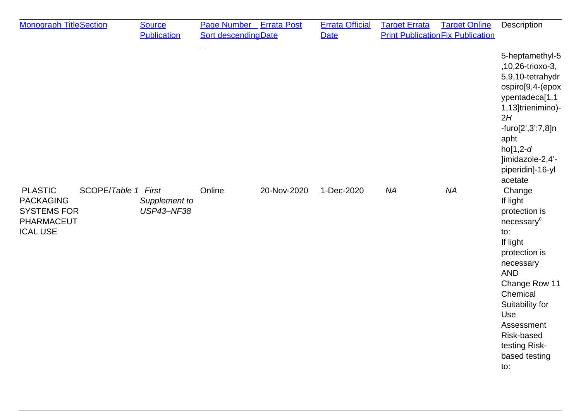| <b>Monograph TitleSection</b>                                                                                    | <b>Source</b><br><b>Publication</b> | <b>Page Number</b> Errata Post<br><b>Sort descendingDate</b> |             | <b>Errata Official</b><br><b>Date</b> | <b>Target Errata</b> | <b>Target Online</b><br><b>Print Publication Fix Publication</b> | Description                                                                                                                                                                                                                                              |
|------------------------------------------------------------------------------------------------------------------|-------------------------------------|--------------------------------------------------------------|-------------|---------------------------------------|----------------------|------------------------------------------------------------------|----------------------------------------------------------------------------------------------------------------------------------------------------------------------------------------------------------------------------------------------------------|
|                                                                                                                  |                                     | -                                                            |             |                                       |                      |                                                                  | 5-heptamethyl-5<br>,10,26-trioxo-3,<br>5,9,10-tetrahydr<br>ospiro[9,4-(epox<br>ypentadeca[1,1<br>1,13]trienimino)-<br>2H<br>-furo[2',3':7,8]n<br>apht<br>$ho[1,2-d]$<br>]imidazole-2,4'-<br>piperidin]-16-yl<br>acetate                                  |
| <b>PLASTIC</b><br>SCOPE/Table 1 First<br><b>PACKAGING</b><br><b>SYSTEMS FOR</b><br>PHARMACEUT<br><b>ICAL USE</b> | Supplement to<br><b>USP43-NF38</b>  | Online                                                       | 20-Nov-2020 | 1-Dec-2020                            | <b>NA</b>            | <b>NA</b>                                                        | Change<br>If light<br>protection is<br>necessary <sup>c</sup><br>to:<br>If light<br>protection is<br>necessary<br><b>AND</b><br>Change Row 11<br>Chemical<br>Suitability for<br>Use<br>Assessment<br>Risk-based<br>testing Risk-<br>based testing<br>to: |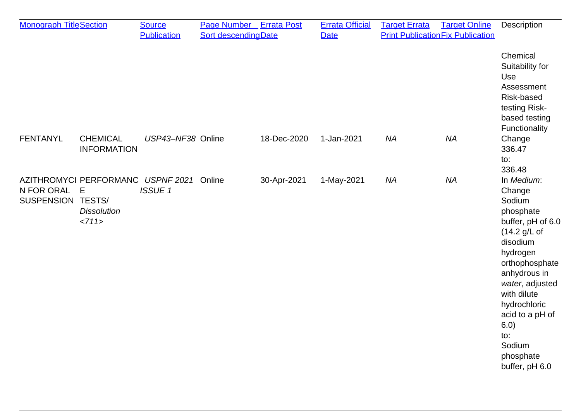| <b>Monograph TitleSection</b>     |                                                                         | <b>Source</b>      | Page Number Errata Post |             | <b>Errata Official</b> | <b>Target Errata</b> | <b>Target Online</b>                     | Description                                                                                                                                                                                                                                                           |
|-----------------------------------|-------------------------------------------------------------------------|--------------------|-------------------------|-------------|------------------------|----------------------|------------------------------------------|-----------------------------------------------------------------------------------------------------------------------------------------------------------------------------------------------------------------------------------------------------------------------|
|                                   |                                                                         | <b>Publication</b> | Sort descending Date    |             | <b>Date</b>            |                      | <b>Print Publication Fix Publication</b> |                                                                                                                                                                                                                                                                       |
|                                   |                                                                         |                    |                         |             |                        |                      |                                          | Chemical<br>Suitability for<br>Use<br>Assessment<br>Risk-based<br>testing Risk-<br>based testing<br>Functionality                                                                                                                                                     |
| <b>FENTANYL</b>                   | <b>CHEMICAL</b><br><b>INFORMATION</b>                                   | USP43-NF38 Online  |                         | 18-Dec-2020 | 1-Jan-2021             | <b>NA</b>            | <b>NA</b>                                | Change<br>336.47<br>to:<br>336.48                                                                                                                                                                                                                                     |
| N FOR ORAL E<br>SUSPENSION TESTS/ | AZITHROMYCI PERFORMANC USPNF 2021 Online<br><b>Dissolution</b><br><711> | <b>ISSUE 1</b>     |                         | 30-Apr-2021 | 1-May-2021             | <b>NA</b>            | <b>NA</b>                                | In Medium:<br>Change<br>Sodium<br>phosphate<br>buffer, pH of 6.0<br>(14.2 g/L)<br>disodium<br>hydrogen<br>orthophosphate<br>anhydrous in<br>water, adjusted<br>with dilute<br>hydrochloric<br>acid to a pH of<br>6.0)<br>to:<br>Sodium<br>phosphate<br>buffer, pH 6.0 |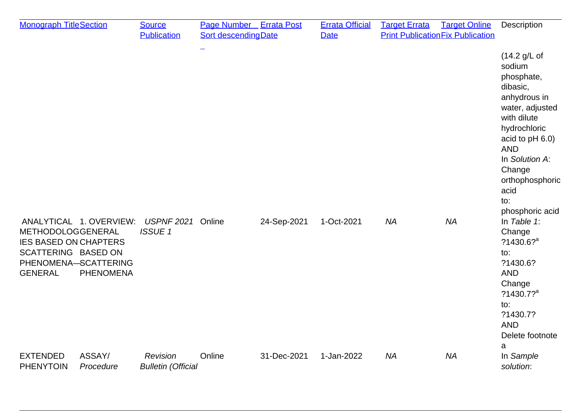| <b>Monograph TitleSection</b>                                                                                                                                     | <b>Source</b><br><b>Publication</b>   | Page Number Errata Post<br><b>Sort descendingDate</b> |             | <b>Errata Official</b><br><b>Date</b> | <b>Target Errata</b> | <b>Target Online</b><br><b>Print Publication Fix Publication</b> | <b>Description</b>                                                                                                                                                                                                                   |
|-------------------------------------------------------------------------------------------------------------------------------------------------------------------|---------------------------------------|-------------------------------------------------------|-------------|---------------------------------------|----------------------|------------------------------------------------------------------|--------------------------------------------------------------------------------------------------------------------------------------------------------------------------------------------------------------------------------------|
|                                                                                                                                                                   |                                       |                                                       |             |                                       |                      |                                                                  | (14.2 g/L of<br>sodium<br>phosphate,<br>dibasic,<br>anhydrous in<br>water, adjusted<br>with dilute<br>hydrochloric<br>acid to pH 6.0)<br><b>AND</b><br>In Solution A:<br>Change<br>orthophosphoric<br>acid<br>to:<br>phosphoric acid |
| ANALYTICAL 1. OVERVIEW:<br>METHODOLOGGENERAL<br><b>IES BASED ON CHAPTERS</b><br>SCATTERING BASED ON<br>PHENOMENA-SCATTERING<br><b>GENERAL</b><br><b>PHENOMENA</b> | <b>USPNF 2021</b><br><b>ISSUE1</b>    | Online                                                | 24-Sep-2021 | 1-Oct-2021                            | <b>NA</b>            | <b>NA</b>                                                        | In Table $1$ :<br>Change<br>$?1430.6?$ <sup>a</sup><br>to:<br>?1430.6?<br><b>AND</b><br>Change<br>$?1430.7?$ <sup>a</sup><br>to:<br>?1430.7?<br><b>AND</b><br>Delete footnote<br>a                                                   |
| ASSAY/<br><b>EXTENDED</b><br><b>PHENYTOIN</b><br>Procedure                                                                                                        | Revision<br><b>Bulletin (Official</b> | Online                                                | 31-Dec-2021 | 1-Jan-2022                            | <b>NA</b>            | <b>NA</b>                                                        | In Sample<br>solution:                                                                                                                                                                                                               |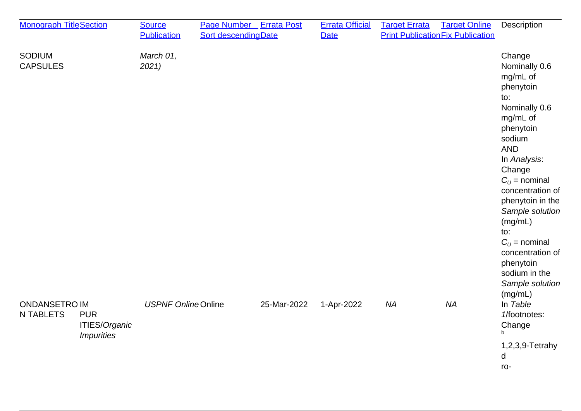| <b>Monograph TitleSection</b>            |                                                         | <b>Source</b><br><b>Publication</b> | Page Number Errata Post<br>Sort descending Date |             | <b>Errata Official</b><br><b>Date</b> | <b>Target Errata</b> | <b>Target Online</b><br><b>Print Publication Fix Publication</b> | Description                                                                                                                                                                                                                                                                                                                                                |
|------------------------------------------|---------------------------------------------------------|-------------------------------------|-------------------------------------------------|-------------|---------------------------------------|----------------------|------------------------------------------------------------------|------------------------------------------------------------------------------------------------------------------------------------------------------------------------------------------------------------------------------------------------------------------------------------------------------------------------------------------------------------|
| <b>SODIUM</b><br><b>CAPSULES</b>         |                                                         | March 01,<br>2021                   |                                                 |             |                                       |                      |                                                                  | Change<br>Nominally 0.6<br>mg/mL of<br>phenytoin<br>to:<br>Nominally 0.6<br>mg/mL of<br>phenytoin<br>sodium<br><b>AND</b><br>In Analysis:<br>Change<br>$C_{U}$ = nominal<br>concentration of<br>phenytoin in the<br>Sample solution<br>(mg/mL)<br>to:<br>$C_{U}$ = nominal<br>concentration of<br>phenytoin<br>sodium in the<br>Sample solution<br>(mg/mL) |
| <b>ONDANSETRO IM</b><br><b>N TABLETS</b> | <b>PUR</b><br>ITIES/Organic<br><i><b>Impurities</b></i> | <b>USPNF Online Online</b>          |                                                 | 25-Mar-2022 | 1-Apr-2022                            | <b>NA</b>            | <b>NA</b>                                                        | In Table<br>1/footnotes:<br>Change<br>$\mathbf b$                                                                                                                                                                                                                                                                                                          |
|                                          |                                                         |                                     |                                                 |             |                                       |                      |                                                                  | 1,2,3,9-Tetrahy<br>d<br>ro-                                                                                                                                                                                                                                                                                                                                |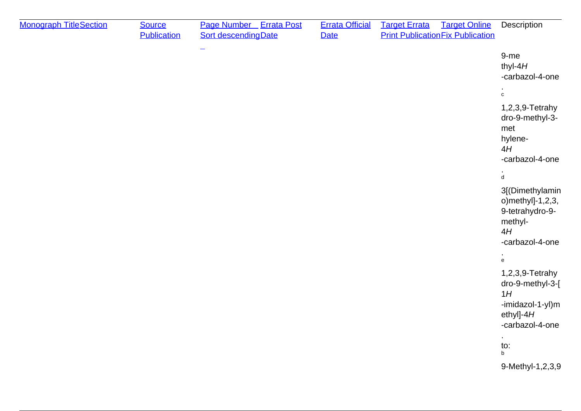| <b>Monograph TitleSection</b> | <b>Source</b><br><b>Publication</b> | Page Number Errata Post<br><b>Sort descending Date</b> | <b>Errata Official</b><br><b>Date</b> | <b>Target Online</b><br><b>Target Errata</b><br><b>Print Publication Fix Publication</b> | Description                                                                                                                          |
|-------------------------------|-------------------------------------|--------------------------------------------------------|---------------------------------------|------------------------------------------------------------------------------------------|--------------------------------------------------------------------------------------------------------------------------------------|
|                               |                                     | $\overline{\phantom{m}}$                               |                                       |                                                                                          | 9-me<br>thyl- $4H$<br>-carbazol-4-one                                                                                                |
|                               |                                     |                                                        |                                       |                                                                                          | $\mathbf c$                                                                                                                          |
|                               |                                     |                                                        |                                       |                                                                                          | 1,2,3,9-Tetrahy<br>dro-9-methyl-3-<br>met<br>hylene-<br>4H<br>-carbazol-4-one                                                        |
|                               |                                     |                                                        |                                       |                                                                                          | $\mathbf{\dot{d}}$                                                                                                                   |
|                               |                                     |                                                        |                                       |                                                                                          | 3[(Dimethylamin<br>o) methyl]-1,2,3,<br>9-tetrahydro-9-<br>methyl-<br>4H<br>-carbazol-4-one                                          |
|                               |                                     |                                                        |                                       |                                                                                          | ٠<br>$\mathsf{e}% _{0}\left( \mathsf{e}\right)$                                                                                      |
|                               |                                     |                                                        |                                       |                                                                                          | 1,2,3,9-Tetrahy<br>dro-9-methyl-3-[<br>1H<br>-imidazol-1-yl)m<br>ethyl]-4 $H$<br>-carbazol-4-one<br>$\epsilon$<br>to:<br>$\mathsf b$ |
|                               |                                     |                                                        |                                       |                                                                                          | 9-Methyl-1,2,3,9                                                                                                                     |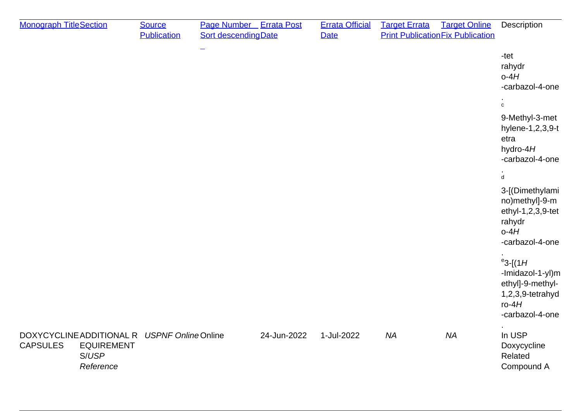| <b>Monograph TitleSection</b> |                                                                                         | <b>Source</b><br><b>Publication</b> | <b>Page Number</b> Errata Post<br><b>Sort descendingDate</b> |             | <b>Errata Official</b><br><b>Date</b> | <b>Target Errata</b> | <b>Target Online</b><br><b>Print Publication Fix Publication</b> | Description                                                                                                |
|-------------------------------|-----------------------------------------------------------------------------------------|-------------------------------------|--------------------------------------------------------------|-------------|---------------------------------------|----------------------|------------------------------------------------------------------|------------------------------------------------------------------------------------------------------------|
|                               |                                                                                         |                                     |                                                              |             |                                       |                      |                                                                  | -tet<br>rahydr<br>$o-4H$<br>-carbazol-4-one                                                                |
|                               |                                                                                         |                                     |                                                              |             |                                       |                      |                                                                  | $\mathtt{c}$                                                                                               |
|                               |                                                                                         |                                     |                                                              |             |                                       |                      |                                                                  | 9-Methyl-3-met<br>hylene-1,2,3,9-t<br>etra<br>hydro- $4H$<br>-carbazol-4-one                               |
|                               |                                                                                         |                                     |                                                              |             |                                       |                      |                                                                  | $\mathbf{d}$                                                                                               |
|                               |                                                                                         |                                     |                                                              |             |                                       |                      |                                                                  | 3-[(Dimethylami<br>no)methyl]-9-m<br>ethyl-1,2,3,9-tet<br>rahydr<br>$o-4H$<br>-carbazol-4-one              |
|                               |                                                                                         |                                     |                                                              |             |                                       |                      |                                                                  | $^{e}$ 3-[(1H<br>-Imidazol-1-yl)m<br>ethyl]-9-methyl-<br>$1,2,3,9$ -tetrahyd<br>$ro-4H$<br>-carbazol-4-one |
| <b>CAPSULES</b>               | DOXYCYCLINE ADDITIONAL R USPNF Online Online<br><b>EQUIREMENT</b><br>S/USP<br>Reference |                                     |                                                              | 24-Jun-2022 | 1-Jul-2022                            | <b>NA</b>            | <b>NA</b>                                                        | In USP<br>Doxycycline<br>Related<br>Compound A                                                             |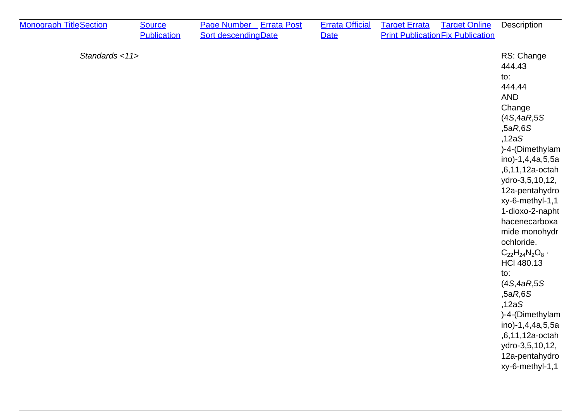| <b>Monograph TitleSection</b> | <b>Source</b><br><b>Publication</b> | Page Number Errata Post<br><b>Sort descending Date</b> | <b>Errata Official</b><br><b>Date</b> | <b>Target Errata</b><br><b>Target Online</b><br><b>Print Publication Fix Publication</b> | Description                                                                                                                                                                                                                                                                                                                                                                                                                                                                                          |
|-------------------------------|-------------------------------------|--------------------------------------------------------|---------------------------------------|------------------------------------------------------------------------------------------|------------------------------------------------------------------------------------------------------------------------------------------------------------------------------------------------------------------------------------------------------------------------------------------------------------------------------------------------------------------------------------------------------------------------------------------------------------------------------------------------------|
| Standards <11>                |                                     |                                                        |                                       |                                                                                          | RS: Change<br>444.43<br>to:<br>444.44<br><b>AND</b><br>Change<br>(4S, 4aR, 5S)<br>,5aR,6S<br>,12aS<br>)-4-(Dimethylam<br>ino)-1,4,4a,5,5a<br>,6,11,12a-octah<br>ydro-3,5,10,12,<br>12a-pentahydro<br>xy-6-methyl-1,1<br>1-dioxo-2-napht<br>hacenecarboxa<br>mide monohydr<br>ochloride.<br>$C_{22}H_{24}N_2O_8$ .<br><b>HCI 480.13</b><br>to:<br>(4S, 4aR, 5S)<br>,5aR,6S<br>,12aS<br>)-4-(Dimethylam<br>ino)-1,4,4a,5,5a<br>,6,11,12a-octah<br>ydro-3,5,10,12,<br>12a-pentahydro<br>xy-6-methyl-1,1 |